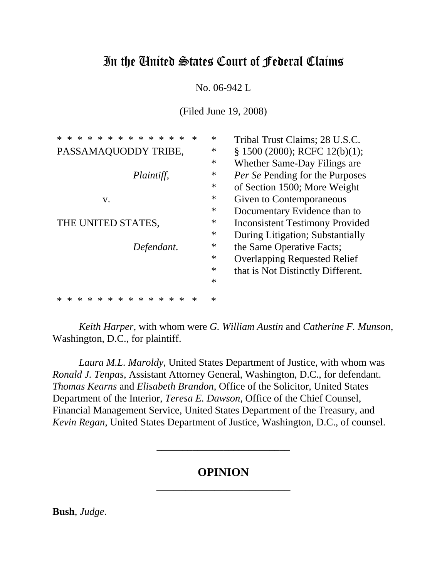# In the United States Court of Federal Claims

No. 06-942 L

(Filed June 19, 2008)

| $\ast$<br>$\ast$<br>$\ast$<br>$\ast$<br>$\ast$<br>$\ast$<br>$\ast$<br>$\ast$<br>$\ast$<br>$\ast$<br>$\ast$<br>$\ast$<br>$\ast$<br>$\ast$ | $\ast$ | Tribal Trust Claims; 28 U.S.C.         |
|------------------------------------------------------------------------------------------------------------------------------------------|--------|----------------------------------------|
| PASSAMAQUODDY TRIBE,                                                                                                                     | $\ast$ | $\S$ 1500 (2000); RCFC 12(b)(1);       |
|                                                                                                                                          | $\ast$ | Whether Same-Day Filings are.          |
| Plaintiff,                                                                                                                               | ∗      | <i>Per Se</i> Pending for the Purposes |
|                                                                                                                                          | $\ast$ | of Section 1500; More Weight           |
| V.                                                                                                                                       | $\ast$ | Given to Contemporaneous               |
|                                                                                                                                          | $\ast$ | Documentary Evidence than to           |
| THE UNITED STATES,                                                                                                                       | ∗      | <b>Inconsistent Testimony Provided</b> |
|                                                                                                                                          | $\ast$ | During Litigation; Substantially       |
| Defendant.                                                                                                                               | $\ast$ | the Same Operative Facts;              |
|                                                                                                                                          | $\ast$ | <b>Overlapping Requested Relief</b>    |
|                                                                                                                                          | $\ast$ | that is Not Distinctly Different.      |
|                                                                                                                                          | $\ast$ |                                        |
| $\ast$<br>$\ast$<br>$\ast$<br>$\ast$<br>$\ast$<br>$\ast$<br>$\ast$<br>$\ast$<br>$\ast$<br>∗                                              | $\ast$ |                                        |

*Keith Harper*, with whom were *G. William Austin* and *Catherine F. Munson*, Washington, D.C., for plaintiff.

*Laura M.L. Maroldy*, United States Department of Justice, with whom was *Ronald J. Tenpas*, Assistant Attorney General, Washington, D.C., for defendant. *Thomas Kearns* and *Elisabeth Brandon*, Office of the Solicitor, United States Department of the Interior, *Teresa E. Dawson*, Office of the Chief Counsel, Financial Management Service, United States Department of the Treasury, and *Kevin Regan*, United States Department of Justice, Washington, D.C., of counsel.

## **OPINION \_\_\_\_\_\_\_\_\_\_\_\_\_\_\_\_\_\_\_\_\_\_\_**

**\_\_\_\_\_\_\_\_\_\_\_\_\_\_\_\_\_\_\_\_\_\_\_\_\_\_**

**Bush**, *Judge*.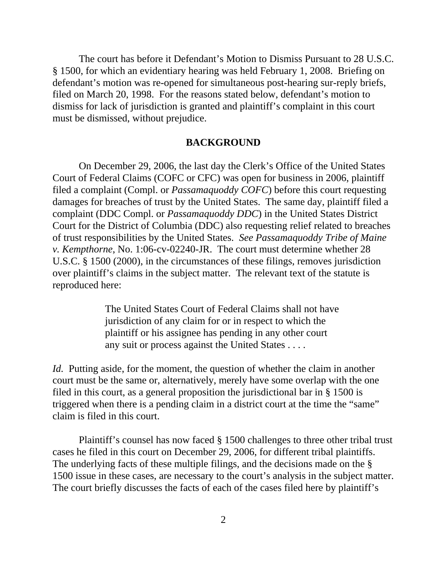The court has before it Defendant's Motion to Dismiss Pursuant to 28 U.S.C. § 1500, for which an evidentiary hearing was held February 1, 2008. Briefing on defendant's motion was re-opened for simultaneous post-hearing sur-reply briefs, filed on March 20, 1998. For the reasons stated below, defendant's motion to dismiss for lack of jurisdiction is granted and plaintiff's complaint in this court must be dismissed, without prejudice.

### **BACKGROUND**

On December 29, 2006, the last day the Clerk's Office of the United States Court of Federal Claims (COFC or CFC) was open for business in 2006, plaintiff filed a complaint (Compl. or *Passamaquoddy COFC*) before this court requesting damages for breaches of trust by the United States. The same day, plaintiff filed a complaint (DDC Compl. or *Passamaquoddy DDC*) in the United States District Court for the District of Columbia (DDC) also requesting relief related to breaches of trust responsibilities by the United States. *See Passamaquoddy Tribe of Maine v. Kempthorne*, No. 1:06-cv-02240-JR. The court must determine whether 28 U.S.C. § 1500 (2000), in the circumstances of these filings, removes jurisdiction over plaintiff's claims in the subject matter. The relevant text of the statute is reproduced here:

> The United States Court of Federal Claims shall not have jurisdiction of any claim for or in respect to which the plaintiff or his assignee has pending in any other court any suit or process against the United States . . . .

*Id.* Putting aside, for the moment, the question of whether the claim in another court must be the same or, alternatively, merely have some overlap with the one filed in this court, as a general proposition the jurisdictional bar in § 1500 is triggered when there is a pending claim in a district court at the time the "same" claim is filed in this court.

Plaintiff's counsel has now faced § 1500 challenges to three other tribal trust cases he filed in this court on December 29, 2006, for different tribal plaintiffs. The underlying facts of these multiple filings, and the decisions made on the § 1500 issue in these cases, are necessary to the court's analysis in the subject matter. The court briefly discusses the facts of each of the cases filed here by plaintiff's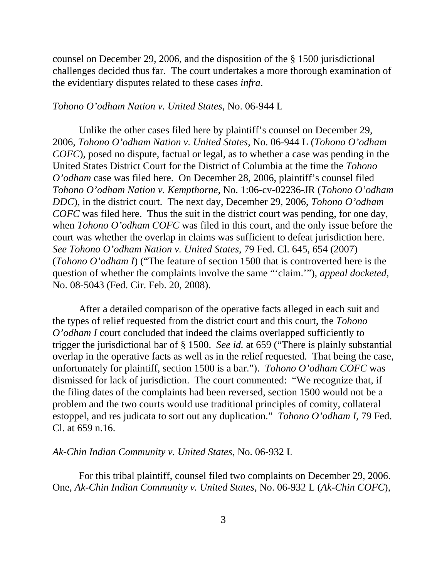counsel on December 29, 2006, and the disposition of the § 1500 jurisdictional challenges decided thus far. The court undertakes a more thorough examination of the evidentiary disputes related to these cases *infra*.

#### *Tohono O'odham Nation v. United States*, No. 06-944 L

Unlike the other cases filed here by plaintiff's counsel on December 29, 2006, *Tohono O'odham Nation v. United States*, No. 06-944 L (*Tohono O'odham COFC*), posed no dispute, factual or legal, as to whether a case was pending in the United States District Court for the District of Columbia at the time the *Tohono O'odham* case was filed here. On December 28, 2006, plaintiff's counsel filed *Tohono O'odham Nation v. Kempthorne*, No. 1:06-cv-02236-JR (*Tohono O'odham DDC*), in the district court. The next day, December 29, 2006, *Tohono O'odham COFC* was filed here. Thus the suit in the district court was pending, for one day, when *Tohono O'odham COFC* was filed in this court, and the only issue before the court was whether the overlap in claims was sufficient to defeat jurisdiction here. *See Tohono O'odham Nation v. United States*, 79 Fed. Cl. 645, 654 (2007) (*Tohono O'odham I*) ("The feature of section 1500 that is controverted here is the question of whether the complaints involve the same "'claim.'"), *appeal docketed*, No. 08-5043 (Fed. Cir. Feb. 20, 2008).

After a detailed comparison of the operative facts alleged in each suit and the types of relief requested from the district court and this court, the *Tohono O'odham I* court concluded that indeed the claims overlapped sufficiently to trigger the jurisdictional bar of § 1500. *See id.* at 659 ("There is plainly substantial overlap in the operative facts as well as in the relief requested. That being the case, unfortunately for plaintiff, section 1500 is a bar."). *Tohono O'odham COFC* was dismissed for lack of jurisdiction. The court commented: "We recognize that, if the filing dates of the complaints had been reversed, section 1500 would not be a problem and the two courts would use traditional principles of comity, collateral estoppel, and res judicata to sort out any duplication." *Tohono O'odham I*, 79 Fed. Cl. at 659 n.16.

#### *Ak-Chin Indian Community v. United States*, No. 06-932 L

For this tribal plaintiff, counsel filed two complaints on December 29, 2006. One, *Ak-Chin Indian Community v. United States*, No. 06-932 L (*Ak-Chin COFC*),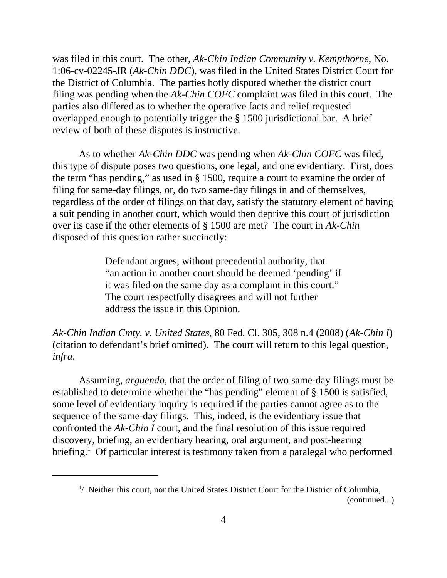was filed in this court. The other, *Ak-Chin Indian Community v. Kempthorne*, No. 1:06-cv-02245-JR (*Ak-Chin DDC*), was filed in the United States District Court for the District of Columbia. The parties hotly disputed whether the district court filing was pending when the *Ak-Chin COFC* complaint was filed in this court. The parties also differed as to whether the operative facts and relief requested overlapped enough to potentially trigger the § 1500 jurisdictional bar. A brief review of both of these disputes is instructive.

As to whether *Ak-Chin DDC* was pending when *Ak-Chin COFC* was filed, this type of dispute poses two questions, one legal, and one evidentiary. First, does the term "has pending," as used in § 1500, require a court to examine the order of filing for same-day filings, or, do two same-day filings in and of themselves, regardless of the order of filings on that day, satisfy the statutory element of having a suit pending in another court, which would then deprive this court of jurisdiction over its case if the other elements of § 1500 are met? The court in *Ak-Chin* disposed of this question rather succinctly:

> Defendant argues, without precedential authority, that "an action in another court should be deemed 'pending' if it was filed on the same day as a complaint in this court." The court respectfully disagrees and will not further address the issue in this Opinion.

*Ak-Chin Indian Cmty. v. United States*, 80 Fed. Cl. 305, 308 n.4 (2008) (*Ak-Chin I*) (citation to defendant's brief omitted). The court will return to this legal question, *infra*.

Assuming, *arguendo*, that the order of filing of two same-day filings must be established to determine whether the "has pending" element of § 1500 is satisfied, some level of evidentiary inquiry is required if the parties cannot agree as to the sequence of the same-day filings. This, indeed, is the evidentiary issue that confronted the *Ak-Chin I* court, and the final resolution of this issue required discovery, briefing, an evidentiary hearing, oral argument, and post-hearing briefing.<sup>1</sup> Of particular interest is testimony taken from a paralegal who performed

(continued...)

<sup>&</sup>lt;sup>1</sup>/ Neither this court, nor the United States District Court for the District of Columbia,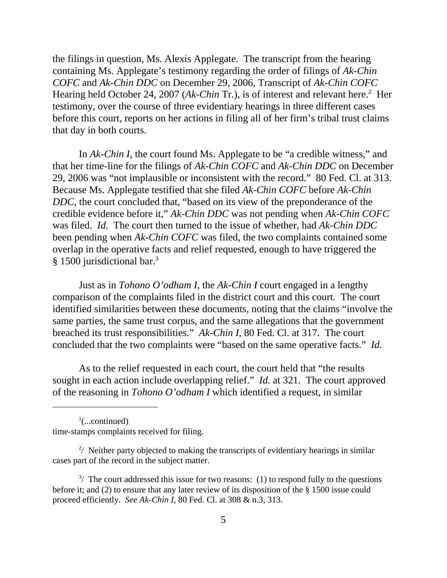the filings in question, Ms. Alexis Applegate. The transcript from the hearing containing Ms. Applegate's testimony regarding the order of filings of *Ak-Chin COFC* and *Ak-Chin DDC* on December 29, 2006, Transcript of *Ak-Chin COFC* Hearing held October 24, 2007 (*Ak-Chin* Tr.), is of interest and relevant here.<sup>2</sup> Her testimony, over the course of three evidentiary hearings in three different cases before this court, reports on her actions in filing all of her firm's tribal trust claims that day in both courts.

In *Ak-Chin I*, the court found Ms. Applegate to be "a credible witness," and that her time-line for the filings of *Ak-Chin COFC* and *Ak-Chin DDC* on December 29, 2006 was "not implausible or inconsistent with the record." 80 Fed. Cl. at 313. Because Ms. Applegate testified that she filed *Ak-Chin COFC* before *Ak-Chin DDC*, the court concluded that, "based on its view of the preponderance of the credible evidence before it," *Ak-Chin DDC* was not pending when *Ak-Chin COFC* was filed. *Id.* The court then turned to the issue of whether, had *Ak-Chin DDC* been pending when *Ak-Chin COFC* was filed, the two complaints contained some overlap in the operative facts and relief requested, enough to have triggered the § 1500 jurisdictional bar.<sup>3</sup>

Just as in *Tohono O'odham I*, the *Ak-Chin I* court engaged in a lengthy comparison of the complaints filed in the district court and this court. The court identified similarities between these documents, noting that the claims "involve the same parties, the same trust corpus, and the same allegations that the government breached its trust responsibilities." *Ak-Chin I*, 80 Fed. Cl. at 317. The court concluded that the two complaints were "based on the same operative facts." *Id.*

As to the relief requested in each court, the court held that "the results sought in each action include overlapping relief." *Id.* at 321. The court approved of the reasoning in *Tohono O'odham I* which identified a request, in similar

 $\frac{1}{2}$ (...continued) time-stamps complaints received for filing.

 $2/$  Neither party objected to making the transcripts of evidentiary hearings in similar cases part of the record in the subject matter.

 $3/$  The court addressed this issue for two reasons: (1) to respond fully to the questions before it; and (2) to ensure that any later review of its disposition of the § 1500 issue could proceed efficiently. *See Ak-Chin I*, 80 Fed. Cl. at 308 & n.3, 313.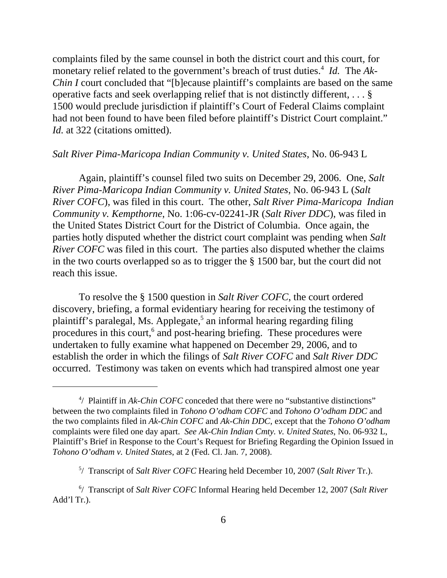complaints filed by the same counsel in both the district court and this court, for monetary relief related to the government's breach of trust duties.<sup>4</sup> *Id.* The Ak-*Chin I* court concluded that "[b]ecause plaintiff's complaints are based on the same operative facts and seek overlapping relief that is not distinctly different, . . . § 1500 would preclude jurisdiction if plaintiff's Court of Federal Claims complaint had not been found to have been filed before plaintiff's District Court complaint." *Id.* at 322 (citations omitted).

#### *Salt River Pima-Maricopa Indian Community v. United States*, No. 06-943 L

Again, plaintiff's counsel filed two suits on December 29, 2006. One, *Salt River Pima-Maricopa Indian Community v. United States*, No. 06-943 L (*Salt River COFC*), was filed in this court. The other, *Salt River Pima-Maricopa Indian Community v. Kempthorne*, No. 1:06-cv-02241-JR (*Salt River DDC*), was filed in the United States District Court for the District of Columbia. Once again, the parties hotly disputed whether the district court complaint was pending when *Salt River COFC* was filed in this court. The parties also disputed whether the claims in the two courts overlapped so as to trigger the § 1500 bar, but the court did not reach this issue.

To resolve the § 1500 question in *Salt River COFC*, the court ordered discovery, briefing, a formal evidentiary hearing for receiving the testimony of plaintiff's paralegal, Ms. Applegate,<sup>5</sup> an informal hearing regarding filing procedures in this court,<sup>6</sup> and post-hearing briefing. These procedures were undertaken to fully examine what happened on December 29, 2006, and to establish the order in which the filings of *Salt River COFC* and *Salt River DDC* occurred. Testimony was taken on events which had transpired almost one year

<sup>&</sup>lt;sup>4</sup>/ Plaintiff in *Ak-Chin COFC* conceded that there were no "substantive distinctions" between the two complaints filed in *Tohono O'odham COFC* and *Tohono O'odham DDC* and the two complaints filed in *Ak-Chin COFC* and *Ak-Chin DDC*, except that the *Tohono O'odham* complaints were filed one day apart. *See Ak-Chin Indian Cmty. v. United States*, No. 06-932 L, Plaintiff's Brief in Response to the Court's Request for Briefing Regarding the Opinion Issued in *Tohono O'odham v. United States*, at 2 (Fed. Cl. Jan. 7, 2008).

<sup>5</sup> / Transcript of *Salt River COFC* Hearing held December 10, 2007 (*Salt River* Tr.).

<sup>6</sup> / Transcript of *Salt River COFC* Informal Hearing held December 12, 2007 (*Salt River* Add'l Tr.).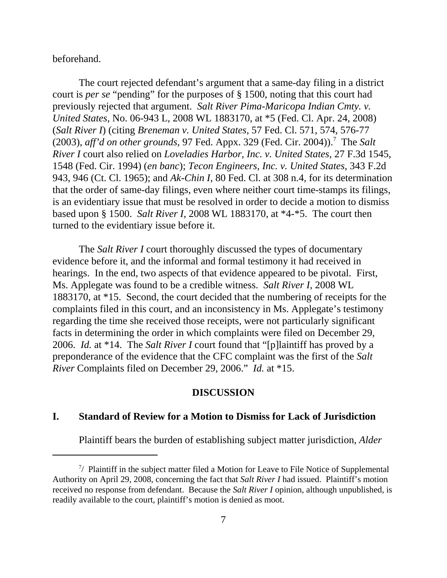beforehand.

The court rejected defendant's argument that a same-day filing in a district court is *per se* "pending" for the purposes of § 1500, noting that this court had previously rejected that argument. *Salt River Pima-Maricopa Indian Cmty. v. United States*, No. 06-943 L, 2008 WL 1883170, at \*5 (Fed. Cl. Apr. 24, 2008) (*Salt River I*) (citing *Breneman v. United States*, 57 Fed. Cl. 571, 574, 576-77 (2003), *aff'd on other grounds*, 97 Fed. Appx. 329 (Fed. Cir. 2004)).<sup>7</sup> The *Salt River I* court also relied on *Loveladies Harbor, Inc. v. United States*, 27 F.3d 1545, 1548 (Fed. Cir. 1994) (*en banc*); *Tecon Engineers, Inc. v. United States*, 343 F.2d 943, 946 (Ct. Cl. 1965); and *Ak-Chin I*, 80 Fed. Cl. at 308 n.4, for its determination that the order of same-day filings, even where neither court time-stamps its filings, is an evidentiary issue that must be resolved in order to decide a motion to dismiss based upon § 1500. *Salt River I*, 2008 WL 1883170, at \*4-\*5. The court then turned to the evidentiary issue before it.

The *Salt River I* court thoroughly discussed the types of documentary evidence before it, and the informal and formal testimony it had received in hearings. In the end, two aspects of that evidence appeared to be pivotal. First, Ms. Applegate was found to be a credible witness. *Salt River I*, 2008 WL 1883170, at \*15. Second, the court decided that the numbering of receipts for the complaints filed in this court, and an inconsistency in Ms. Applegate's testimony regarding the time she received those receipts, were not particularly significant facts in determining the order in which complaints were filed on December 29, 2006. *Id.* at \*14. The *Salt River I* court found that "[p]laintiff has proved by a preponderance of the evidence that the CFC complaint was the first of the *Salt River* Complaints filed on December 29, 2006." *Id.* at \*15.

#### **DISCUSSION**

### **I. Standard of Review for a Motion to Dismiss for Lack of Jurisdiction**

Plaintiff bears the burden of establishing subject matter jurisdiction, *Alder*

 $7/$  Plaintiff in the subject matter filed a Motion for Leave to File Notice of Supplemental Authority on April 29, 2008, concerning the fact that *Salt River I* had issued. Plaintiff's motion received no response from defendant. Because the *Salt River I* opinion, although unpublished, is readily available to the court, plaintiff's motion is denied as moot.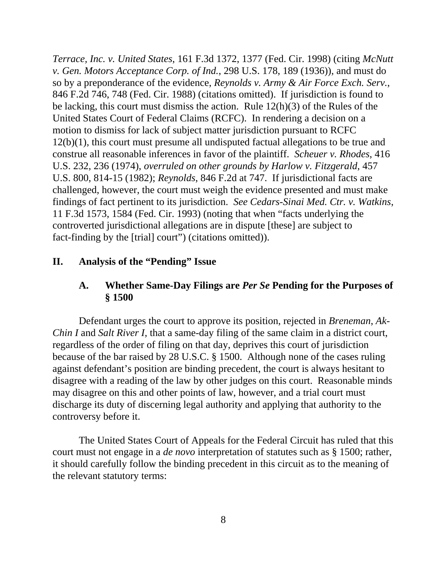*Terrace, Inc. v. United States*, 161 F.3d 1372, 1377 (Fed. Cir. 1998) (citing *McNutt v. Gen. Motors Acceptance Corp. of Ind.*, 298 U.S. 178, 189 (1936)), and must do so by a preponderance of the evidence, *Reynolds v. Army & Air Force Exch. Serv.*, 846 F.2d 746, 748 (Fed. Cir. 1988) (citations omitted). If jurisdiction is found to be lacking, this court must dismiss the action. Rule 12(h)(3) of the Rules of the United States Court of Federal Claims (RCFC). In rendering a decision on a motion to dismiss for lack of subject matter jurisdiction pursuant to RCFC 12(b)(1), this court must presume all undisputed factual allegations to be true and construe all reasonable inferences in favor of the plaintiff. *Scheuer v. Rhodes*, 416 U.S. 232, 236 (1974), *overruled on other grounds by Harlow v. Fitzgerald*, 457 U.S. 800, 814-15 (1982); *Reynolds*, 846 F.2d at 747. If jurisdictional facts are challenged, however, the court must weigh the evidence presented and must make findings of fact pertinent to its jurisdiction. *See Cedars-Sinai Med. Ctr. v. Watkins*, 11 F.3d 1573, 1584 (Fed. Cir. 1993) (noting that when "facts underlying the controverted jurisdictional allegations are in dispute [these] are subject to fact-finding by the [trial] court") (citations omitted)).

### **II. Analysis of the "Pending" Issue**

### **A. Whether Same-Day Filings are** *Per Se* **Pending for the Purposes of § 1500**

Defendant urges the court to approve its position, rejected in *Breneman*, *Ak-Chin I* and *Salt River I*, that a same-day filing of the same claim in a district court, regardless of the order of filing on that day, deprives this court of jurisdiction because of the bar raised by 28 U.S.C. § 1500. Although none of the cases ruling against defendant's position are binding precedent, the court is always hesitant to disagree with a reading of the law by other judges on this court. Reasonable minds may disagree on this and other points of law, however, and a trial court must discharge its duty of discerning legal authority and applying that authority to the controversy before it.

The United States Court of Appeals for the Federal Circuit has ruled that this court must not engage in a *de novo* interpretation of statutes such as § 1500; rather, it should carefully follow the binding precedent in this circuit as to the meaning of the relevant statutory terms: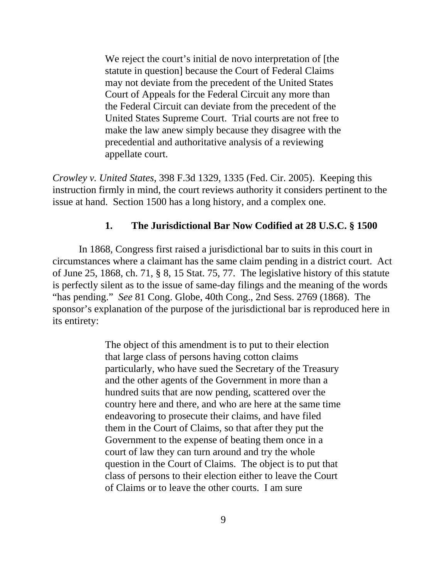We reject the court's initial de novo interpretation of [the statute in question] because the Court of Federal Claims may not deviate from the precedent of the United States Court of Appeals for the Federal Circuit any more than the Federal Circuit can deviate from the precedent of the United States Supreme Court. Trial courts are not free to make the law anew simply because they disagree with the precedential and authoritative analysis of a reviewing appellate court.

*Crowley v. United States*, 398 F.3d 1329, 1335 (Fed. Cir. 2005). Keeping this instruction firmly in mind, the court reviews authority it considers pertinent to the issue at hand. Section 1500 has a long history, and a complex one.

### **1. The Jurisdictional Bar Now Codified at 28 U.S.C. § 1500**

In 1868, Congress first raised a jurisdictional bar to suits in this court in circumstances where a claimant has the same claim pending in a district court. Act of June 25, 1868, ch. 71, § 8, 15 Stat. 75, 77. The legislative history of this statute is perfectly silent as to the issue of same-day filings and the meaning of the words "has pending." *See* 81 Cong. Globe, 40th Cong., 2nd Sess. 2769 (1868). The sponsor's explanation of the purpose of the jurisdictional bar is reproduced here in its entirety:

> The object of this amendment is to put to their election that large class of persons having cotton claims particularly, who have sued the Secretary of the Treasury and the other agents of the Government in more than a hundred suits that are now pending, scattered over the country here and there, and who are here at the same time endeavoring to prosecute their claims, and have filed them in the Court of Claims, so that after they put the Government to the expense of beating them once in a court of law they can turn around and try the whole question in the Court of Claims. The object is to put that class of persons to their election either to leave the Court of Claims or to leave the other courts. I am sure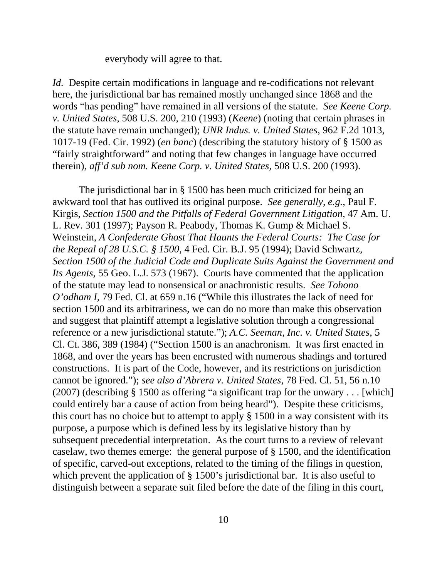everybody will agree to that.

*Id.* Despite certain modifications in language and re-codifications not relevant here, the jurisdictional bar has remained mostly unchanged since 1868 and the words "has pending" have remained in all versions of the statute. *See Keene Corp. v. United States*, 508 U.S. 200, 210 (1993) (*Keene*) (noting that certain phrases in the statute have remain unchanged); *UNR Indus. v. United States*, 962 F.2d 1013, 1017-19 (Fed. Cir. 1992) (*en banc*) (describing the statutory history of § 1500 as "fairly straightforward" and noting that few changes in language have occurred therein), *aff'd sub nom. Keene Corp. v. United States*, 508 U.S. 200 (1993).

The jurisdictional bar in § 1500 has been much criticized for being an awkward tool that has outlived its original purpose. *See generally, e.g.*, Paul F. Kirgis, *Section 1500 and the Pitfalls of Federal Government Litigation*, 47 Am. U. L. Rev. 301 (1997); Payson R. Peabody, Thomas K. Gump & Michael S. Weinstein, *A Confederate Ghost That Haunts the Federal Courts: The Case for the Repeal of 28 U.S.C. § 1500*, 4 Fed. Cir. B.J. 95 (1994); David Schwartz, *Section 1500 of the Judicial Code and Duplicate Suits Against the Government and Its Agents*, 55 Geo. L.J. 573 (1967). Courts have commented that the application of the statute may lead to nonsensical or anachronistic results. *See Tohono O'odham I*, 79 Fed. Cl. at 659 n.16 ("While this illustrates the lack of need for section 1500 and its arbitrariness, we can do no more than make this observation and suggest that plaintiff attempt a legislative solution through a congressional reference or a new jurisdictional statute."); *A.C. Seeman, Inc. v. United States*, 5 Cl. Ct. 386, 389 (1984) ("Section 1500 is an anachronism. It was first enacted in 1868, and over the years has been encrusted with numerous shadings and tortured constructions. It is part of the Code, however, and its restrictions on jurisdiction cannot be ignored."); *see also d'Abrera v. United States*, 78 Fed. Cl. 51, 56 n.10 (2007) (describing § 1500 as offering "a significant trap for the unwary . . . [which] could entirely bar a cause of action from being heard"). Despite these criticisms, this court has no choice but to attempt to apply § 1500 in a way consistent with its purpose, a purpose which is defined less by its legislative history than by subsequent precedential interpretation. As the court turns to a review of relevant caselaw, two themes emerge: the general purpose of § 1500, and the identification of specific, carved-out exceptions, related to the timing of the filings in question, which prevent the application of § 1500's jurisdictional bar. It is also useful to distinguish between a separate suit filed before the date of the filing in this court,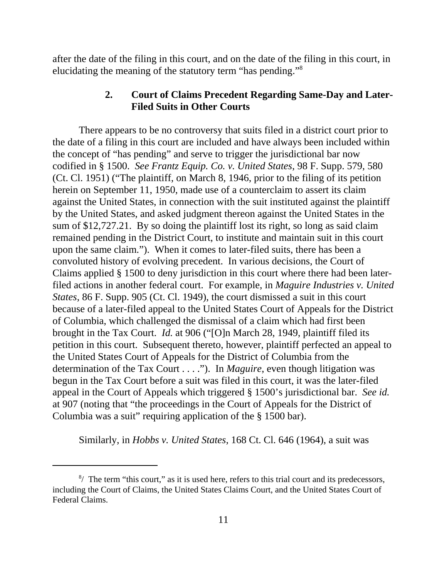after the date of the filing in this court, and on the date of the filing in this court, in elucidating the meaning of the statutory term "has pending."8

### **2. Court of Claims Precedent Regarding Same-Day and Later-Filed Suits in Other Courts**

There appears to be no controversy that suits filed in a district court prior to the date of a filing in this court are included and have always been included within the concept of "has pending" and serve to trigger the jurisdictional bar now codified in § 1500. *See Frantz Equip. Co. v. United States*, 98 F. Supp. 579, 580 (Ct. Cl. 1951) ("The plaintiff, on March 8, 1946, prior to the filing of its petition herein on September 11, 1950, made use of a counterclaim to assert its claim against the United States, in connection with the suit instituted against the plaintiff by the United States, and asked judgment thereon against the United States in the sum of \$12,727.21. By so doing the plaintiff lost its right, so long as said claim remained pending in the District Court, to institute and maintain suit in this court upon the same claim."). When it comes to later-filed suits, there has been a convoluted history of evolving precedent. In various decisions, the Court of Claims applied § 1500 to deny jurisdiction in this court where there had been laterfiled actions in another federal court. For example, in *Maguire Industries v. United States*, 86 F. Supp. 905 (Ct. Cl. 1949), the court dismissed a suit in this court because of a later-filed appeal to the United States Court of Appeals for the District of Columbia, which challenged the dismissal of a claim which had first been brought in the Tax Court. *Id.* at 906 ("[O]n March 28, 1949, plaintiff filed its petition in this court. Subsequent thereto, however, plaintiff perfected an appeal to the United States Court of Appeals for the District of Columbia from the determination of the Tax Court . . . ."). In *Maguire*, even though litigation was begun in the Tax Court before a suit was filed in this court, it was the later-filed appeal in the Court of Appeals which triggered § 1500's jurisdictional bar. *See id.* at 907 (noting that "the proceedings in the Court of Appeals for the District of Columbia was a suit" requiring application of the § 1500 bar).

Similarly, in *Hobbs v. United States*, 168 Ct. Cl. 646 (1964), a suit was

 $8/$  The term "this court," as it is used here, refers to this trial court and its predecessors, including the Court of Claims, the United States Claims Court, and the United States Court of Federal Claims.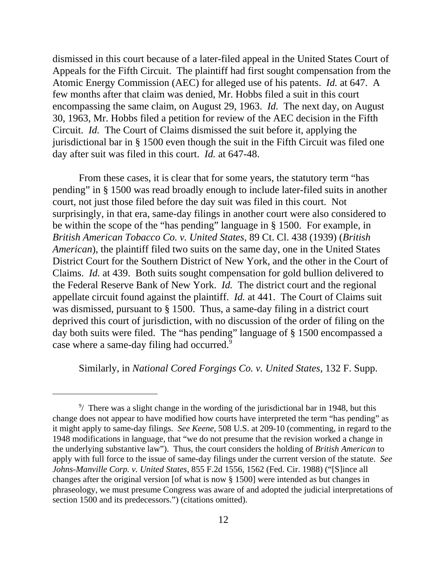dismissed in this court because of a later-filed appeal in the United States Court of Appeals for the Fifth Circuit. The plaintiff had first sought compensation from the Atomic Energy Commission (AEC) for alleged use of his patents. *Id.* at 647. A few months after that claim was denied, Mr. Hobbs filed a suit in this court encompassing the same claim, on August 29, 1963. *Id.* The next day, on August 30, 1963, Mr. Hobbs filed a petition for review of the AEC decision in the Fifth Circuit. *Id.* The Court of Claims dismissed the suit before it, applying the jurisdictional bar in § 1500 even though the suit in the Fifth Circuit was filed one day after suit was filed in this court. *Id.* at 647-48.

From these cases, it is clear that for some years, the statutory term "has pending" in § 1500 was read broadly enough to include later-filed suits in another court, not just those filed before the day suit was filed in this court. Not surprisingly, in that era, same-day filings in another court were also considered to be within the scope of the "has pending" language in § 1500. For example, in *British American Tobacco Co. v. United States*, 89 Ct. Cl. 438 (1939) (*British American*), the plaintiff filed two suits on the same day, one in the United States District Court for the Southern District of New York, and the other in the Court of Claims. *Id.* at 439. Both suits sought compensation for gold bullion delivered to the Federal Reserve Bank of New York. *Id.* The district court and the regional appellate circuit found against the plaintiff. *Id.* at 441. The Court of Claims suit was dismissed, pursuant to § 1500. Thus, a same-day filing in a district court deprived this court of jurisdiction, with no discussion of the order of filing on the day both suits were filed. The "has pending" language of § 1500 encompassed a case where a same-day filing had occurred.<sup>9</sup>

Similarly, in *National Cored Forgings Co. v. United States*, 132 F. Supp.

 $9/$  There was a slight change in the wording of the jurisdictional bar in 1948, but this change does not appear to have modified how courts have interpreted the term "has pending" as it might apply to same-day filings. *See Keene*, 508 U.S. at 209-10 (commenting, in regard to the 1948 modifications in language, that "we do not presume that the revision worked a change in the underlying substantive law"). Thus, the court considers the holding of *British American* to apply with full force to the issue of same-day filings under the current version of the statute. *See Johns-Manville Corp. v. United States*, 855 F.2d 1556, 1562 (Fed. Cir. 1988) ("[S]ince all changes after the original version [of what is now § 1500] were intended as but changes in phraseology, we must presume Congress was aware of and adopted the judicial interpretations of section 1500 and its predecessors.") (citations omitted).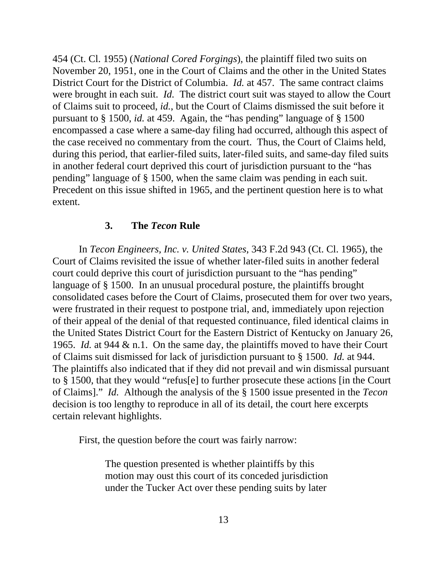454 (Ct. Cl. 1955) (*National Cored Forgings*), the plaintiff filed two suits on November 20, 1951, one in the Court of Claims and the other in the United States District Court for the District of Columbia. *Id.* at 457. The same contract claims were brought in each suit. *Id.* The district court suit was stayed to allow the Court of Claims suit to proceed, *id.*, but the Court of Claims dismissed the suit before it pursuant to § 1500, *id.* at 459. Again, the "has pending" language of § 1500 encompassed a case where a same-day filing had occurred, although this aspect of the case received no commentary from the court. Thus, the Court of Claims held, during this period, that earlier-filed suits, later-filed suits, and same-day filed suits in another federal court deprived this court of jurisdiction pursuant to the "has pending" language of § 1500, when the same claim was pending in each suit. Precedent on this issue shifted in 1965, and the pertinent question here is to what extent.

#### **3. The** *Tecon* **Rule**

In *Tecon Engineers, Inc. v. United States*, 343 F.2d 943 (Ct. Cl. 1965), the Court of Claims revisited the issue of whether later-filed suits in another federal court could deprive this court of jurisdiction pursuant to the "has pending" language of § 1500. In an unusual procedural posture, the plaintiffs brought consolidated cases before the Court of Claims, prosecuted them for over two years, were frustrated in their request to postpone trial, and, immediately upon rejection of their appeal of the denial of that requested continuance, filed identical claims in the United States District Court for the Eastern District of Kentucky on January 26, 1965. *Id.* at 944 & n.1. On the same day, the plaintiffs moved to have their Court of Claims suit dismissed for lack of jurisdiction pursuant to § 1500. *Id.* at 944. The plaintiffs also indicated that if they did not prevail and win dismissal pursuant to § 1500, that they would "refus[e] to further prosecute these actions [in the Court of Claims]." *Id.* Although the analysis of the § 1500 issue presented in the *Tecon* decision is too lengthy to reproduce in all of its detail, the court here excerpts certain relevant highlights.

First, the question before the court was fairly narrow:

The question presented is whether plaintiffs by this motion may oust this court of its conceded jurisdiction under the Tucker Act over these pending suits by later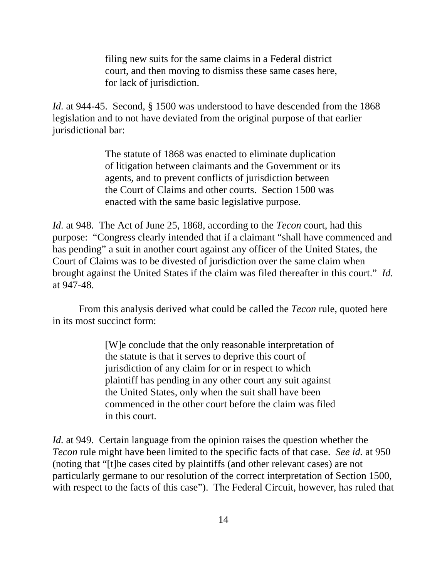filing new suits for the same claims in a Federal district court, and then moving to dismiss these same cases here, for lack of jurisdiction.

*Id.* at 944-45. Second, § 1500 was understood to have descended from the 1868 legislation and to not have deviated from the original purpose of that earlier jurisdictional bar:

> The statute of 1868 was enacted to eliminate duplication of litigation between claimants and the Government or its agents, and to prevent conflicts of jurisdiction between the Court of Claims and other courts. Section 1500 was enacted with the same basic legislative purpose.

*Id.* at 948. The Act of June 25, 1868, according to the *Tecon* court, had this purpose: "Congress clearly intended that if a claimant "shall have commenced and has pending" a suit in another court against any officer of the United States, the Court of Claims was to be divested of jurisdiction over the same claim when brought against the United States if the claim was filed thereafter in this court." *Id.* at 947-48.

From this analysis derived what could be called the *Tecon* rule, quoted here in its most succinct form:

> [W]e conclude that the only reasonable interpretation of the statute is that it serves to deprive this court of jurisdiction of any claim for or in respect to which plaintiff has pending in any other court any suit against the United States, only when the suit shall have been commenced in the other court before the claim was filed in this court.

*Id.* at 949. Certain language from the opinion raises the question whether the *Tecon* rule might have been limited to the specific facts of that case. *See id.* at 950 (noting that "[t]he cases cited by plaintiffs (and other relevant cases) are not particularly germane to our resolution of the correct interpretation of Section 1500, with respect to the facts of this case"). The Federal Circuit, however, has ruled that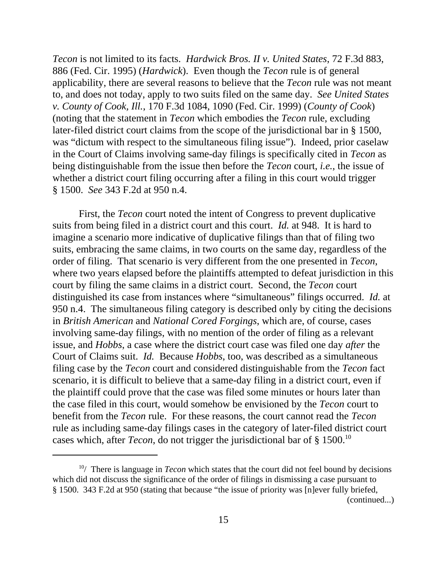*Tecon* is not limited to its facts. *Hardwick Bros. II v. United States*, 72 F.3d 883, 886 (Fed. Cir. 1995) (*Hardwick*). Even though the *Tecon* rule is of general applicability, there are several reasons to believe that the *Tecon* rule was not meant to, and does not today, apply to two suits filed on the same day. *See United States v. County of Cook, Ill.*, 170 F.3d 1084, 1090 (Fed. Cir. 1999) (*County of Cook*) (noting that the statement in *Tecon* which embodies the *Tecon* rule, excluding later-filed district court claims from the scope of the jurisdictional bar in § 1500, was "dictum with respect to the simultaneous filing issue"). Indeed, prior caselaw in the Court of Claims involving same-day filings is specifically cited in *Tecon* as being distinguishable from the issue then before the *Tecon* court, *i.e.*, the issue of whether a district court filing occurring after a filing in this court would trigger § 1500. *See* 343 F.2d at 950 n.4.

First, the *Tecon* court noted the intent of Congress to prevent duplicative suits from being filed in a district court and this court. *Id.* at 948. It is hard to imagine a scenario more indicative of duplicative filings than that of filing two suits, embracing the same claims, in two courts on the same day, regardless of the order of filing. That scenario is very different from the one presented in *Tecon*, where two years elapsed before the plaintiffs attempted to defeat jurisdiction in this court by filing the same claims in a district court. Second, the *Tecon* court distinguished its case from instances where "simultaneous" filings occurred. *Id.* at 950 n.4. The simultaneous filing category is described only by citing the decisions in *British American* and *National Cored Forgings*, which are, of course, cases involving same-day filings, with no mention of the order of filing as a relevant issue, and *Hobbs*, a case where the district court case was filed one day *after* the Court of Claims suit. *Id.* Because *Hobbs*, too, was described as a simultaneous filing case by the *Tecon* court and considered distinguishable from the *Tecon* fact scenario, it is difficult to believe that a same-day filing in a district court, even if the plaintiff could prove that the case was filed some minutes or hours later than the case filed in this court, would somehow be envisioned by the *Tecon* court to benefit from the *Tecon* rule. For these reasons, the court cannot read the *Tecon* rule as including same-day filings cases in the category of later-filed district court cases which, after *Tecon*, do not trigger the jurisdictional bar of § 1500.10

<sup>10/</sup> There is language in *Tecon* which states that the court did not feel bound by decisions which did not discuss the significance of the order of filings in dismissing a case pursuant to § 1500. 343 F.2d at 950 (stating that because "the issue of priority was [n]ever fully briefed,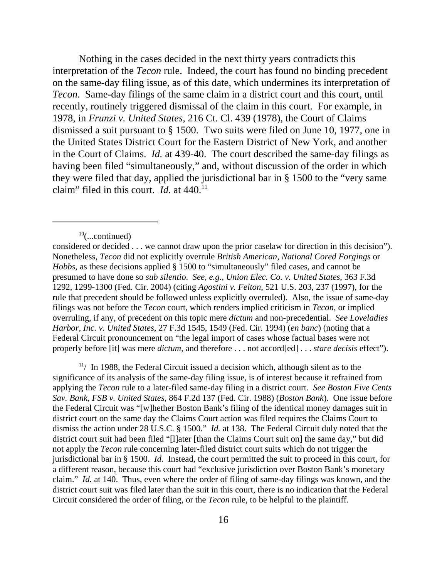Nothing in the cases decided in the next thirty years contradicts this interpretation of the *Tecon* rule. Indeed, the court has found no binding precedent on the same-day filing issue, as of this date, which undermines its interpretation of *Tecon*. Same-day filings of the same claim in a district court and this court, until recently, routinely triggered dismissal of the claim in this court. For example, in 1978, in *Frunzi v. United States*, 216 Ct. Cl. 439 (1978), the Court of Claims dismissed a suit pursuant to § 1500. Two suits were filed on June 10, 1977, one in the United States District Court for the Eastern District of New York, and another in the Court of Claims. *Id.* at 439-40. The court described the same-day filings as having been filed "simultaneously," and, without discussion of the order in which they were filed that day, applied the jurisdictional bar in § 1500 to the "very same claim" filed in this court. *Id.* at  $440$ <sup>11</sup>

 $11/$  In 1988, the Federal Circuit issued a decision which, although silent as to the significance of its analysis of the same-day filing issue, is of interest because it refrained from applying the *Tecon* rule to a later-filed same-day filing in a district court. *See Boston Five Cents Sav. Bank, FSB v. United States*, 864 F.2d 137 (Fed. Cir. 1988) (*Boston Bank*). One issue before the Federal Circuit was "[w]hether Boston Bank's filing of the identical money damages suit in district court on the same day the Claims Court action was filed requires the Claims Court to dismiss the action under 28 U.S.C. § 1500." *Id.* at 138. The Federal Circuit duly noted that the district court suit had been filed "[l]ater [than the Claims Court suit on] the same day," but did not apply the *Tecon* rule concerning later-filed district court suits which do not trigger the jurisdictional bar in § 1500. *Id.* Instead, the court permitted the suit to proceed in this court, for a different reason, because this court had "exclusive jurisdiction over Boston Bank's monetary claim." *Id.* at 140. Thus, even where the order of filing of same-day filings was known, and the district court suit was filed later than the suit in this court, there is no indication that the Federal Circuit considered the order of filing, or the *Tecon* rule, to be helpful to the plaintiff.

 $10$ (...continued)

considered or decided . . . we cannot draw upon the prior caselaw for direction in this decision"). Nonetheless, *Tecon* did not explicitly overrule *British American*, *National Cored Forgings* or *Hobbs*, as these decisions applied § 1500 to "simultaneously" filed cases, and cannot be presumed to have done so *sub silentio*. *See, e.g.*, *Union Elec. Co. v. United States*, 363 F.3d 1292, 1299-1300 (Fed. Cir. 2004) (citing *Agostini v. Felton*, 521 U.S. 203, 237 (1997), for the rule that precedent should be followed unless explicitly overruled). Also, the issue of same-day filings was not before the *Tecon* court, which renders implied criticism in *Tecon*, or implied overruling, if any, of precedent on this topic mere *dictum* and non-precedential. *See Loveladies Harbor, Inc. v. United States*, 27 F.3d 1545, 1549 (Fed. Cir. 1994) (*en banc*) (noting that a Federal Circuit pronouncement on "the legal import of cases whose factual bases were not properly before [it] was mere *dictum*, and therefore . . . not accord[ed] . . . *stare decisis* effect").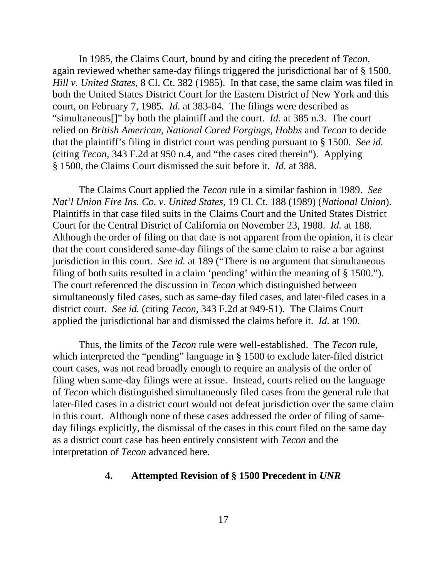In 1985, the Claims Court, bound by and citing the precedent of *Tecon*, again reviewed whether same-day filings triggered the jurisdictional bar of § 1500. *Hill v. United States*, 8 Cl. Ct. 382 (1985). In that case, the same claim was filed in both the United States District Court for the Eastern District of New York and this court, on February 7, 1985. *Id.* at 383-84. The filings were described as "simultaneous[]" by both the plaintiff and the court. *Id.* at 385 n.3. The court relied on *British American*, *National Cored Forgings*, *Hobbs* and *Tecon* to decide that the plaintiff's filing in district court was pending pursuant to § 1500. *See id.* (citing *Tecon*, 343 F.2d at 950 n.4, and "the cases cited therein"). Applying § 1500, the Claims Court dismissed the suit before it. *Id.* at 388.

The Claims Court applied the *Tecon* rule in a similar fashion in 1989. *See Nat'l Union Fire Ins. Co. v. United States*, 19 Cl. Ct. 188 (1989) (*National Union*). Plaintiffs in that case filed suits in the Claims Court and the United States District Court for the Central District of California on November 23, 1988. *Id.* at 188. Although the order of filing on that date is not apparent from the opinion, it is clear that the court considered same-day filings of the same claim to raise a bar against jurisdiction in this court. *See id.* at 189 ("There is no argument that simultaneous filing of both suits resulted in a claim 'pending' within the meaning of § 1500."). The court referenced the discussion in *Tecon* which distinguished between simultaneously filed cases, such as same-day filed cases, and later-filed cases in a district court. *See id.* (citing *Tecon*, 343 F.2d at 949-51). The Claims Court applied the jurisdictional bar and dismissed the claims before it. *Id.* at 190.

Thus, the limits of the *Tecon* rule were well-established. The *Tecon* rule, which interpreted the "pending" language in § 1500 to exclude later-filed district court cases, was not read broadly enough to require an analysis of the order of filing when same-day filings were at issue. Instead, courts relied on the language of *Tecon* which distinguished simultaneously filed cases from the general rule that later-filed cases in a district court would not defeat jurisdiction over the same claim in this court. Although none of these cases addressed the order of filing of sameday filings explicitly, the dismissal of the cases in this court filed on the same day as a district court case has been entirely consistent with *Tecon* and the interpretation of *Tecon* advanced here.

### **4. Attempted Revision of § 1500 Precedent in** *UNR*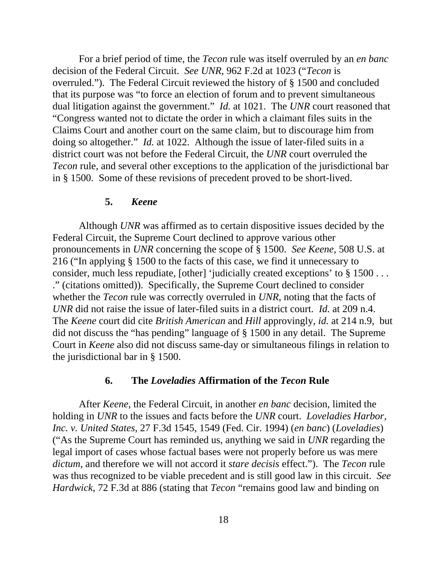For a brief period of time, the *Tecon* rule was itself overruled by an *en banc* decision of the Federal Circuit. *See UNR*, 962 F.2d at 1023 ("*Tecon* is overruled."). The Federal Circuit reviewed the history of § 1500 and concluded that its purpose was "to force an election of forum and to prevent simultaneous dual litigation against the government." *Id.* at 1021. The *UNR* court reasoned that "Congress wanted not to dictate the order in which a claimant files suits in the Claims Court and another court on the same claim, but to discourage him from doing so altogether." *Id.* at 1022. Although the issue of later-filed suits in a district court was not before the Federal Circuit, the *UNR* court overruled the *Tecon* rule, and several other exceptions to the application of the jurisdictional bar in § 1500. Some of these revisions of precedent proved to be short-lived.

#### **5.** *Keene*

Although *UNR* was affirmed as to certain dispositive issues decided by the Federal Circuit, the Supreme Court declined to approve various other pronouncements in *UNR* concerning the scope of § 1500. *See Keene*, 508 U.S. at 216 ("In applying § 1500 to the facts of this case, we find it unnecessary to consider, much less repudiate, [other] 'judicially created exceptions' to § 1500 . . . ." (citations omitted)). Specifically, the Supreme Court declined to consider whether the *Tecon* rule was correctly overruled in *UNR*, noting that the facts of *UNR* did not raise the issue of later-filed suits in a district court. *Id.* at 209 n.4. The *Keene* court did cite *British American* and *Hill* approvingly, *id.* at 214 n.9, but did not discuss the "has pending" language of § 1500 in any detail. The Supreme Court in *Keene* also did not discuss same-day or simultaneous filings in relation to the jurisdictional bar in § 1500.

#### **6. The** *Loveladies* **Affirmation of the** *Tecon* **Rule**

After *Keene*, the Federal Circuit, in another *en banc* decision, limited the holding in *UNR* to the issues and facts before the *UNR* court. *Loveladies Harbor, Inc. v. United States*, 27 F.3d 1545, 1549 (Fed. Cir. 1994) (*en banc*) (*Loveladies*) ("As the Supreme Court has reminded us, anything we said in *UNR* regarding the legal import of cases whose factual bases were not properly before us was mere *dictum*, and therefore we will not accord it *stare decisis* effect."). The *Tecon* rule was thus recognized to be viable precedent and is still good law in this circuit. *See Hardwick*, 72 F.3d at 886 (stating that *Tecon* "remains good law and binding on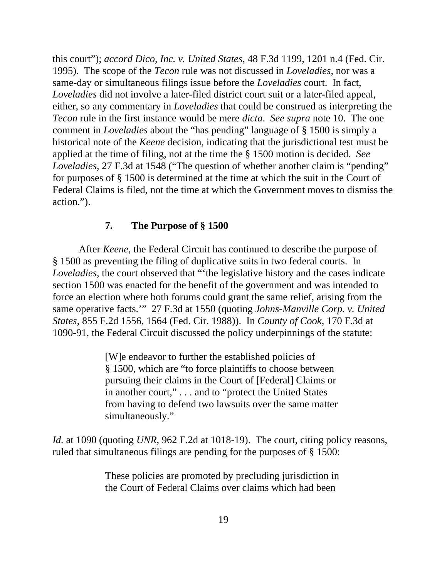this court"); *accord Dico, Inc. v. United States*, 48 F.3d 1199, 1201 n.4 (Fed. Cir. 1995). The scope of the *Tecon* rule was not discussed in *Loveladies*, nor was a same-day or simultaneous filings issue before the *Loveladies* court. In fact, *Loveladies* did not involve a later-filed district court suit or a later-filed appeal, either, so any commentary in *Loveladies* that could be construed as interpreting the *Tecon* rule in the first instance would be mere *dicta*. *See supra* note 10. The one comment in *Loveladies* about the "has pending" language of § 1500 is simply a historical note of the *Keene* decision, indicating that the jurisdictional test must be applied at the time of filing, not at the time the § 1500 motion is decided. *See Loveladies*, 27 F.3d at 1548 ("The question of whether another claim is "pending" for purposes of § 1500 is determined at the time at which the suit in the Court of Federal Claims is filed, not the time at which the Government moves to dismiss the action.").

### **7. The Purpose of § 1500**

After *Keene*, the Federal Circuit has continued to describe the purpose of § 1500 as preventing the filing of duplicative suits in two federal courts. In *Loveladies*, the court observed that "'the legislative history and the cases indicate section 1500 was enacted for the benefit of the government and was intended to force an election where both forums could grant the same relief, arising from the same operative facts.'" 27 F.3d at 1550 (quoting *Johns-Manville Corp. v. United States*, 855 F.2d 1556, 1564 (Fed. Cir. 1988)). In *County of Cook*, 170 F.3d at 1090-91, the Federal Circuit discussed the policy underpinnings of the statute:

> [W]e endeavor to further the established policies of § 1500, which are "to force plaintiffs to choose between pursuing their claims in the Court of [Federal] Claims or in another court," . . . and to "protect the United States from having to defend two lawsuits over the same matter simultaneously."

*Id.* at 1090 (quoting *UNR*, 962 F.2d at 1018-19). The court, citing policy reasons, ruled that simultaneous filings are pending for the purposes of § 1500:

> These policies are promoted by precluding jurisdiction in the Court of Federal Claims over claims which had been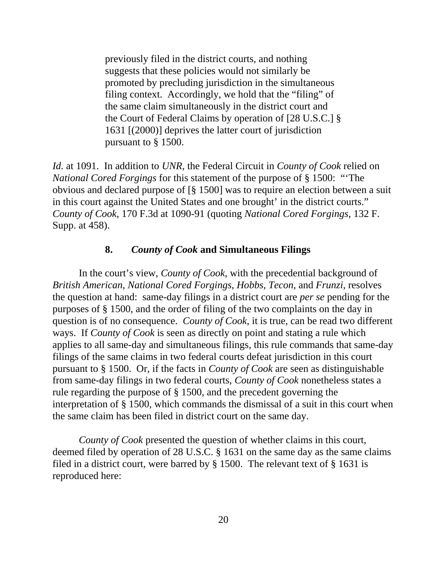previously filed in the district courts, and nothing suggests that these policies would not similarly be promoted by precluding jurisdiction in the simultaneous filing context. Accordingly, we hold that the "filing" of the same claim simultaneously in the district court and the Court of Federal Claims by operation of [28 U.S.C.] § 1631 [(2000)] deprives the latter court of jurisdiction pursuant to § 1500.

*Id.* at 1091. In addition to *UNR*, the Federal Circuit in *County of Cook* relied on *National Cored Forgings* for this statement of the purpose of § 1500: "'The obvious and declared purpose of [§ 1500] was to require an election between a suit in this court against the United States and one brought' in the district courts." *County of Cook*, 170 F.3d at 1090-91 (quoting *National Cored Forgings*, 132 F. Supp. at 458).

### **8.** *County of Cook* **and Simultaneous Filings**

In the court's view, *County of Cook*, with the precedential background of *British American*, *National Cored Forgings*, *Hobbs*, *Tecon*, and *Frunzi*, resolves the question at hand: same-day filings in a district court are *per se* pending for the purposes of § 1500, and the order of filing of the two complaints on the day in question is of no consequence. *County of Cook*, it is true, can be read two different ways. If *County of Cook* is seen as directly on point and stating a rule which applies to all same-day and simultaneous filings, this rule commands that same-day filings of the same claims in two federal courts defeat jurisdiction in this court pursuant to § 1500. Or, if the facts in *County of Cook* are seen as distinguishable from same-day filings in two federal courts, *County of Cook* nonetheless states a rule regarding the purpose of § 1500, and the precedent governing the interpretation of § 1500, which commands the dismissal of a suit in this court when the same claim has been filed in district court on the same day.

*County of Cook* presented the question of whether claims in this court, deemed filed by operation of 28 U.S.C. § 1631 on the same day as the same claims filed in a district court, were barred by § 1500. The relevant text of § 1631 is reproduced here: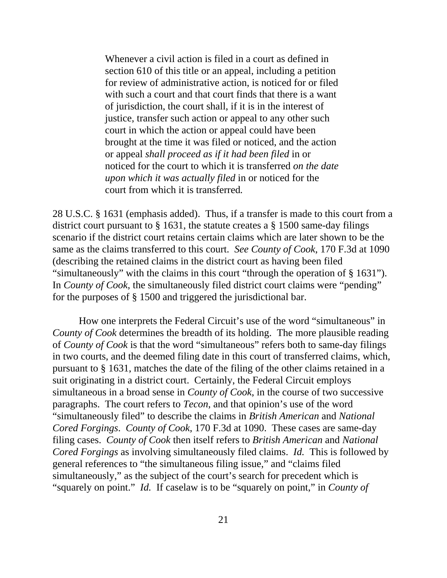Whenever a civil action is filed in a court as defined in section 610 of this title or an appeal, including a petition for review of administrative action, is noticed for or filed with such a court and that court finds that there is a want of jurisdiction, the court shall, if it is in the interest of justice, transfer such action or appeal to any other such court in which the action or appeal could have been brought at the time it was filed or noticed, and the action or appeal *shall proceed as if it had been filed* in or noticed for the court to which it is transferred *on the date upon which it was actually filed* in or noticed for the court from which it is transferred*.*

28 U.S.C. § 1631 (emphasis added). Thus, if a transfer is made to this court from a district court pursuant to § 1631, the statute creates a § 1500 same-day filings scenario if the district court retains certain claims which are later shown to be the same as the claims transferred to this court. *See County of Cook*, 170 F.3d at 1090 (describing the retained claims in the district court as having been filed "simultaneously" with the claims in this court "through the operation of § 1631"). In *County of Cook*, the simultaneously filed district court claims were "pending" for the purposes of § 1500 and triggered the jurisdictional bar.

How one interprets the Federal Circuit's use of the word "simultaneous" in *County of Cook* determines the breadth of its holding. The more plausible reading of *County of Cook* is that the word "simultaneous" refers both to same-day filings in two courts, and the deemed filing date in this court of transferred claims, which, pursuant to § 1631, matches the date of the filing of the other claims retained in a suit originating in a district court. Certainly, the Federal Circuit employs simultaneous in a broad sense in *County of Cook*, in the course of two successive paragraphs. The court refers to *Tecon*, and that opinion's use of the word "simultaneously filed" to describe the claims in *British American* and *National Cored Forgings*. *County of Cook*, 170 F.3d at 1090. These cases are same-day filing cases. *County of Cook* then itself refers to *British American* and *National Cored Forgings* as involving simultaneously filed claims. *Id.* This is followed by general references to "the simultaneous filing issue," and "claims filed simultaneously," as the subject of the court's search for precedent which is "squarely on point." *Id.* If caselaw is to be "squarely on point," in *County of*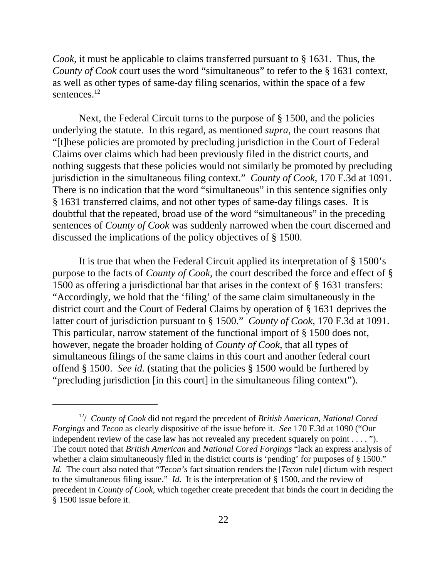*Cook*, it must be applicable to claims transferred pursuant to § 1631. Thus, the *County of Cook* court uses the word "simultaneous" to refer to the § 1631 context, as well as other types of same-day filing scenarios, within the space of a few sentences.<sup>12</sup>

Next, the Federal Circuit turns to the purpose of § 1500, and the policies underlying the statute. In this regard, as mentioned *supra*, the court reasons that "[t]hese policies are promoted by precluding jurisdiction in the Court of Federal Claims over claims which had been previously filed in the district courts, and nothing suggests that these policies would not similarly be promoted by precluding jurisdiction in the simultaneous filing context." *County of Cook*, 170 F.3d at 1091. There is no indication that the word "simultaneous" in this sentence signifies only § 1631 transferred claims, and not other types of same-day filings cases. It is doubtful that the repeated, broad use of the word "simultaneous" in the preceding sentences of *County of Cook* was suddenly narrowed when the court discerned and discussed the implications of the policy objectives of § 1500.

It is true that when the Federal Circuit applied its interpretation of § 1500's purpose to the facts of *County of Cook*, the court described the force and effect of § 1500 as offering a jurisdictional bar that arises in the context of § 1631 transfers: "Accordingly, we hold that the 'filing' of the same claim simultaneously in the district court and the Court of Federal Claims by operation of § 1631 deprives the latter court of jurisdiction pursuant to § 1500." *County of Cook*, 170 F.3d at 1091. This particular, narrow statement of the functional import of § 1500 does not, however, negate the broader holding of *County of Cook*, that all types of simultaneous filings of the same claims in this court and another federal court offend § 1500. *See id.* (stating that the policies § 1500 would be furthered by "precluding jurisdiction [in this court] in the simultaneous filing context").

<sup>12/</sup> *County of Cook* did not regard the precedent of *British American*, *National Cored Forgings* and *Tecon* as clearly dispositive of the issue before it. *See* 170 F.3d at 1090 ("Our independent review of the case law has not revealed any precedent squarely on point . . . . "). The court noted that *British American* and *National Cored Forgings* "lack an express analysis of whether a claim simultaneously filed in the district courts is 'pending' for purposes of § 1500." *Id.* The court also noted that "*Tecon's* fact situation renders the [*Tecon* rule] dictum with respect to the simultaneous filing issue." *Id.* It is the interpretation of § 1500, and the review of precedent in *County of Cook*, which together create precedent that binds the court in deciding the § 1500 issue before it.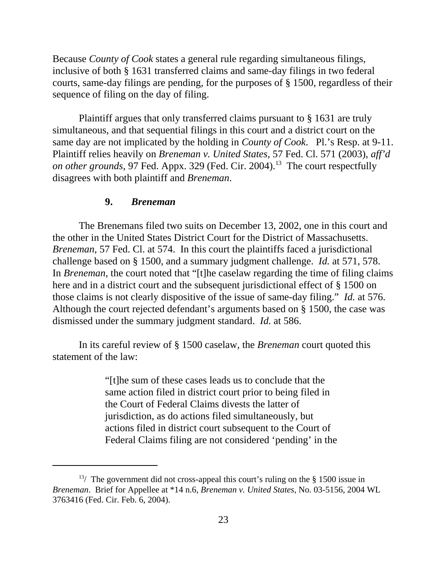Because *County of Cook* states a general rule regarding simultaneous filings, inclusive of both § 1631 transferred claims and same-day filings in two federal courts, same-day filings are pending, for the purposes of § 1500, regardless of their sequence of filing on the day of filing.

Plaintiff argues that only transferred claims pursuant to § 1631 are truly simultaneous, and that sequential filings in this court and a district court on the same day are not implicated by the holding in *County of Cook*. Pl.'s Resp. at 9-11. Plaintiff relies heavily on *Breneman v. United States*, 57 Fed. Cl. 571 (2003), *aff'd on other grounds*, 97 Fed. Appx. 329 (Fed. Cir. 2004).<sup>13</sup> The court respectfully disagrees with both plaintiff and *Breneman*.

#### **9.** *Breneman*

The Brenemans filed two suits on December 13, 2002, one in this court and the other in the United States District Court for the District of Massachusetts. *Breneman*, 57 Fed. Cl. at 574. In this court the plaintiffs faced a jurisdictional challenge based on § 1500, and a summary judgment challenge. *Id.* at 571, 578. In *Breneman*, the court noted that "[t]he caselaw regarding the time of filing claims here and in a district court and the subsequent jurisdictional effect of § 1500 on those claims is not clearly dispositive of the issue of same-day filing." *Id.* at 576. Although the court rejected defendant's arguments based on § 1500, the case was dismissed under the summary judgment standard. *Id.* at 586.

In its careful review of § 1500 caselaw, the *Breneman* court quoted this statement of the law:

> "[t]he sum of these cases leads us to conclude that the same action filed in district court prior to being filed in the Court of Federal Claims divests the latter of jurisdiction, as do actions filed simultaneously, but actions filed in district court subsequent to the Court of Federal Claims filing are not considered 'pending' in the

<sup>&</sup>lt;sup>13</sup>/ The government did not cross-appeal this court's ruling on the  $\S$  1500 issue in *Breneman*. Brief for Appellee at \*14 n.6, *Breneman v. United States*, No. 03-5156, 2004 WL 3763416 (Fed. Cir. Feb. 6, 2004).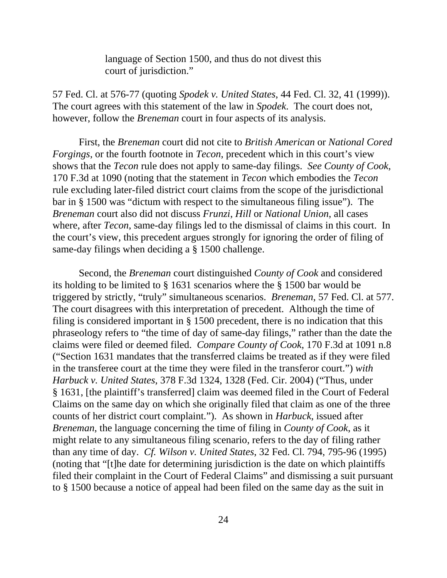language of Section 1500, and thus do not divest this court of jurisdiction."

57 Fed. Cl. at 576-77 (quoting *Spodek v. United States*, 44 Fed. Cl. 32, 41 (1999)). The court agrees with this statement of the law in *Spodek*. The court does not, however, follow the *Breneman* court in four aspects of its analysis.

First, the *Breneman* court did not cite to *British American* or *National Cored Forgings*, or the fourth footnote in *Tecon*, precedent which in this court's view shows that the *Tecon* rule does not apply to same-day filings. *See County of Cook*, 170 F.3d at 1090 (noting that the statement in *Tecon* which embodies the *Tecon* rule excluding later-filed district court claims from the scope of the jurisdictional bar in § 1500 was "dictum with respect to the simultaneous filing issue"). The *Breneman* court also did not discuss *Frunzi*, *Hill* or *National Union*, all cases where, after *Tecon*, same-day filings led to the dismissal of claims in this court. In the court's view, this precedent argues strongly for ignoring the order of filing of same-day filings when deciding a § 1500 challenge.

Second, the *Breneman* court distinguished *County of Cook* and considered its holding to be limited to § 1631 scenarios where the § 1500 bar would be triggered by strictly, "truly" simultaneous scenarios. *Breneman*, 57 Fed. Cl. at 577. The court disagrees with this interpretation of precedent. Although the time of filing is considered important in § 1500 precedent, there is no indication that this phraseology refers to "the time of day of same-day filings," rather than the date the claims were filed or deemed filed. *Compare County of Cook*, 170 F.3d at 1091 n.8 ("Section 1631 mandates that the transferred claims be treated as if they were filed in the transferee court at the time they were filed in the transferor court.") *with Harbuck v. United States*, 378 F.3d 1324, 1328 (Fed. Cir. 2004) ("Thus, under § 1631, [the plaintiff's transferred] claim was deemed filed in the Court of Federal Claims on the same day on which she originally filed that claim as one of the three counts of her district court complaint."). As shown in *Harbuck*, issued after *Breneman*, the language concerning the time of filing in *County of Cook*, as it might relate to any simultaneous filing scenario, refers to the day of filing rather than any time of day. *Cf. Wilson v. United States*, 32 Fed. Cl. 794, 795-96 (1995) (noting that "[t]he date for determining jurisdiction is the date on which plaintiffs filed their complaint in the Court of Federal Claims" and dismissing a suit pursuant to § 1500 because a notice of appeal had been filed on the same day as the suit in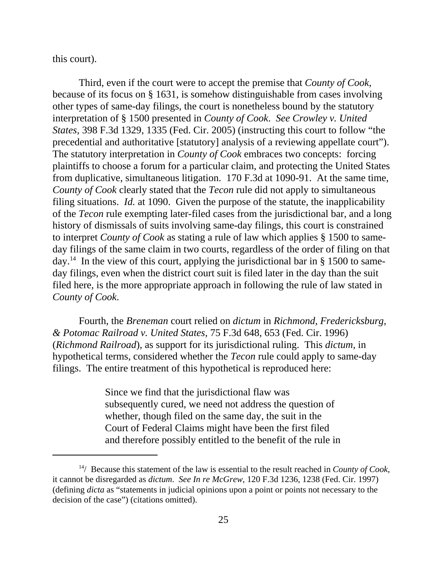this court).

Third, even if the court were to accept the premise that *County of Cook*, because of its focus on § 1631, is somehow distinguishable from cases involving other types of same-day filings, the court is nonetheless bound by the statutory interpretation of § 1500 presented in *County of Cook*. *See Crowley v. United States*, 398 F.3d 1329, 1335 (Fed. Cir. 2005) (instructing this court to follow "the precedential and authoritative [statutory] analysis of a reviewing appellate court"). The statutory interpretation in *County of Cook* embraces two concepts: forcing plaintiffs to choose a forum for a particular claim, and protecting the United States from duplicative, simultaneous litigation. 170 F.3d at 1090-91. At the same time, *County of Cook* clearly stated that the *Tecon* rule did not apply to simultaneous filing situations. *Id.* at 1090. Given the purpose of the statute, the inapplicability of the *Tecon* rule exempting later-filed cases from the jurisdictional bar, and a long history of dismissals of suits involving same-day filings, this court is constrained to interpret *County of Cook* as stating a rule of law which applies § 1500 to sameday filings of the same claim in two courts, regardless of the order of filing on that day.<sup>14</sup> In the view of this court, applying the jurisdictional bar in  $\S$  1500 to sameday filings, even when the district court suit is filed later in the day than the suit filed here, is the more appropriate approach in following the rule of law stated in *County of Cook*.

Fourth, the *Breneman* court relied on *dictum* in *Richmond, Fredericksburg, & Potomac Railroad v. United States*, 75 F.3d 648, 653 (Fed. Cir. 1996) (*Richmond Railroad*), as support for its jurisdictional ruling. This *dictum*, in hypothetical terms, considered whether the *Tecon* rule could apply to same-day filings. The entire treatment of this hypothetical is reproduced here:

> Since we find that the jurisdictional flaw was subsequently cured, we need not address the question of whether, though filed on the same day, the suit in the Court of Federal Claims might have been the first filed and therefore possibly entitled to the benefit of the rule in

<sup>14/</sup> Because this statement of the law is essential to the result reached in *County of Cook*, it cannot be disregarded as *dictum*. *See In re McGrew*, 120 F.3d 1236, 1238 (Fed. Cir. 1997) (defining *dicta* as "statements in judicial opinions upon a point or points not necessary to the decision of the case") (citations omitted).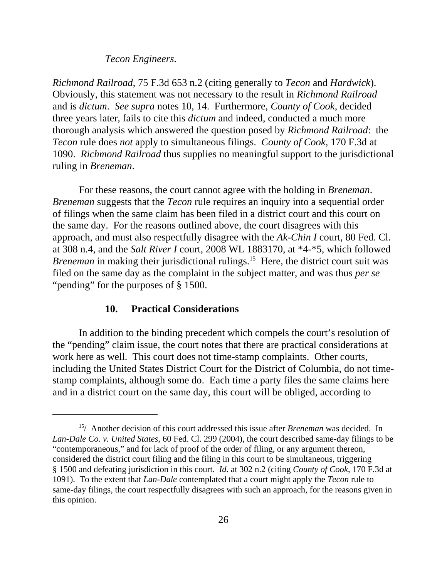#### *Tecon Engineers*.

*Richmond Railroad*, 75 F.3d 653 n.2 (citing generally to *Tecon* and *Hardwick*). Obviously, this statement was not necessary to the result in *Richmond Railroad* and is *dictum*. *See supra* notes 10, 14. Furthermore, *County of Cook*, decided three years later, fails to cite this *dictum* and indeed, conducted a much more thorough analysis which answered the question posed by *Richmond Railroad*: the *Tecon* rule does *not* apply to simultaneous filings. *County of Cook*, 170 F.3d at 1090. *Richmond Railroad* thus supplies no meaningful support to the jurisdictional ruling in *Breneman*.

For these reasons, the court cannot agree with the holding in *Breneman*. *Breneman* suggests that the *Tecon* rule requires an inquiry into a sequential order of filings when the same claim has been filed in a district court and this court on the same day. For the reasons outlined above, the court disagrees with this approach, and must also respectfully disagree with the *Ak-Chin I* court, 80 Fed. Cl. at 308 n.4, and the *Salt River I* court, 2008 WL 1883170, at \*4-\*5, which followed *Breneman* in making their jurisdictional rulings.<sup>15</sup> Here, the district court suit was filed on the same day as the complaint in the subject matter, and was thus *per se* "pending" for the purposes of § 1500.

#### **10. Practical Considerations**

In addition to the binding precedent which compels the court's resolution of the "pending" claim issue, the court notes that there are practical considerations at work here as well. This court does not time-stamp complaints. Other courts, including the United States District Court for the District of Columbia, do not timestamp complaints, although some do. Each time a party files the same claims here and in a district court on the same day, this court will be obliged, according to

<sup>15/</sup> Another decision of this court addressed this issue after *Breneman* was decided. In *Lan-Dale Co. v. United States*, 60 Fed. Cl. 299 (2004), the court described same-day filings to be "contemporaneous," and for lack of proof of the order of filing, or any argument thereon, considered the district court filing and the filing in this court to be simultaneous, triggering § 1500 and defeating jurisdiction in this court. *Id.* at 302 n.2 (citing *County of Cook*, 170 F.3d at 1091). To the extent that *Lan-Dale* contemplated that a court might apply the *Tecon* rule to same-day filings, the court respectfully disagrees with such an approach, for the reasons given in this opinion.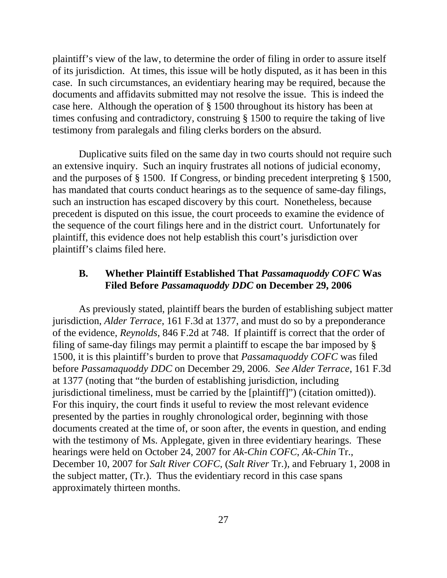plaintiff's view of the law, to determine the order of filing in order to assure itself of its jurisdiction. At times, this issue will be hotly disputed, as it has been in this case. In such circumstances, an evidentiary hearing may be required, because the documents and affidavits submitted may not resolve the issue. This is indeed the case here. Although the operation of § 1500 throughout its history has been at times confusing and contradictory, construing § 1500 to require the taking of live testimony from paralegals and filing clerks borders on the absurd.

Duplicative suits filed on the same day in two courts should not require such an extensive inquiry. Such an inquiry frustrates all notions of judicial economy, and the purposes of § 1500. If Congress, or binding precedent interpreting § 1500, has mandated that courts conduct hearings as to the sequence of same-day filings, such an instruction has escaped discovery by this court. Nonetheless, because precedent is disputed on this issue, the court proceeds to examine the evidence of the sequence of the court filings here and in the district court. Unfortunately for plaintiff, this evidence does not help establish this court's jurisdiction over plaintiff's claims filed here.

### **B. Whether Plaintiff Established That** *Passamaquoddy COFC* **Was Filed Before** *Passamaquoddy DDC* **on December 29, 2006**

As previously stated, plaintiff bears the burden of establishing subject matter jurisdiction, *Alder Terrace*, 161 F.3d at 1377, and must do so by a preponderance of the evidence, *Reynolds*, 846 F.2d at 748. If plaintiff is correct that the order of filing of same-day filings may permit a plaintiff to escape the bar imposed by § 1500, it is this plaintiff's burden to prove that *Passamaquoddy COFC* was filed before *Passamaquoddy DDC* on December 29, 2006. *See Alder Terrace*, 161 F.3d at 1377 (noting that "the burden of establishing jurisdiction, including jurisdictional timeliness, must be carried by the [plaintiff]") (citation omitted)). For this inquiry, the court finds it useful to review the most relevant evidence presented by the parties in roughly chronological order, beginning with those documents created at the time of, or soon after, the events in question, and ending with the testimony of Ms. Applegate, given in three evidentiary hearings. These hearings were held on October 24, 2007 for *Ak-Chin COFC*, *Ak-Chin* Tr., December 10, 2007 for *Salt River COFC*, (*Salt River* Tr.), and February 1, 2008 in the subject matter, (Tr.). Thus the evidentiary record in this case spans approximately thirteen months.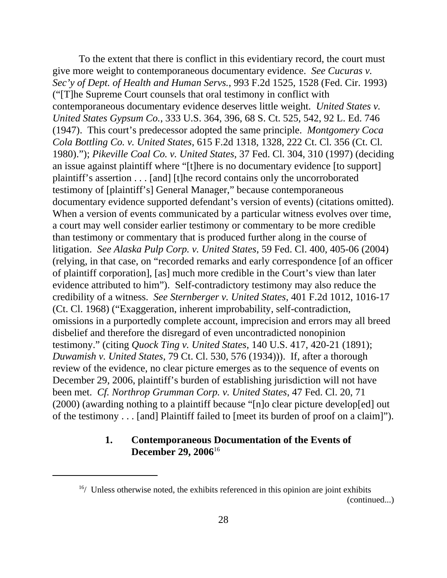To the extent that there is conflict in this evidentiary record, the court must give more weight to contemporaneous documentary evidence. *See Cucuras v. Sec'y of Dept. of Health and Human Servs.*, 993 F.2d 1525, 1528 (Fed. Cir. 1993) ("[T]he Supreme Court counsels that oral testimony in conflict with contemporaneous documentary evidence deserves little weight. *United States v. United States Gypsum Co.*, 333 U.S. 364, 396, 68 S. Ct. 525, 542, 92 L. Ed. 746 (1947). This court's predecessor adopted the same principle. *Montgomery Coca Cola Bottling Co. v. United States*, 615 F.2d 1318, 1328, 222 Ct. Cl. 356 (Ct. Cl. 1980)."); *Pikeville Coal Co. v. United States*, 37 Fed. Cl. 304, 310 (1997) (deciding an issue against plaintiff where "[t]here is no documentary evidence [to support] plaintiff's assertion . . . [and] [t]he record contains only the uncorroborated testimony of [plaintiff's] General Manager," because contemporaneous documentary evidence supported defendant's version of events) (citations omitted). When a version of events communicated by a particular witness evolves over time, a court may well consider earlier testimony or commentary to be more credible than testimony or commentary that is produced further along in the course of litigation. *See Alaska Pulp Corp. v. United States*, 59 Fed. Cl. 400, 405-06 (2004) (relying, in that case, on "recorded remarks and early correspondence [of an officer of plaintiff corporation], [as] much more credible in the Court's view than later evidence attributed to him"). Self-contradictory testimony may also reduce the credibility of a witness. *See Sternberger v. United States*, 401 F.2d 1012, 1016-17 (Ct. Cl. 1968) ("Exaggeration, inherent improbability, self-contradiction, omissions in a purportedly complete account, imprecision and errors may all breed disbelief and therefore the disregard of even uncontradicted nonopinion testimony." (citing *Quock Ting v. United States*, 140 U.S. 417, 420-21 (1891); *Duwamish v. United States*, 79 Ct. Cl. 530, 576 (1934))). If, after a thorough review of the evidence, no clear picture emerges as to the sequence of events on December 29, 2006, plaintiff's burden of establishing jurisdiction will not have been met. *Cf. Northrop Grumman Corp. v. United States*, 47 Fed. Cl. 20, 71 (2000) (awarding nothing to a plaintiff because "[n]o clear picture develop[ed] out of the testimony . . . [and] Plaintiff failed to [meet its burden of proof on a claim]").

### **1. Contemporaneous Documentation of the Events of December 29, 2006**16

 $16/$  Unless otherwise noted, the exhibits referenced in this opinion are joint exhibits (continued...)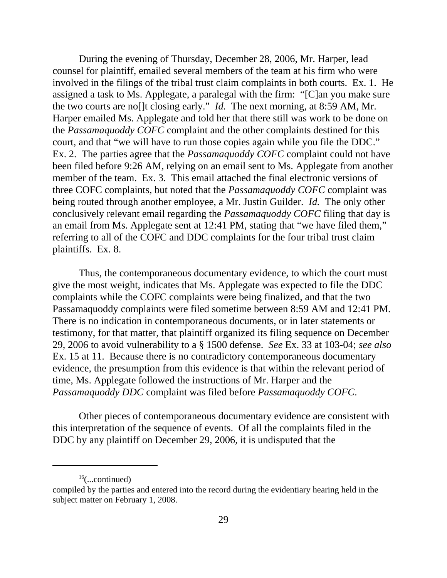During the evening of Thursday, December 28, 2006, Mr. Harper, lead counsel for plaintiff, emailed several members of the team at his firm who were involved in the filings of the tribal trust claim complaints in both courts. Ex. 1. He assigned a task to Ms. Applegate, a paralegal with the firm: "[C]an you make sure the two courts are no[]t closing early." *Id.* The next morning, at 8:59 AM, Mr. Harper emailed Ms. Applegate and told her that there still was work to be done on the *Passamaquoddy COFC* complaint and the other complaints destined for this court, and that "we will have to run those copies again while you file the DDC." Ex. 2. The parties agree that the *Passamaquoddy COFC* complaint could not have been filed before 9:26 AM, relying on an email sent to Ms. Applegate from another member of the team. Ex. 3. This email attached the final electronic versions of three COFC complaints, but noted that the *Passamaquoddy COFC* complaint was being routed through another employee, a Mr. Justin Guilder. *Id.* The only other conclusively relevant email regarding the *Passamaquoddy COFC* filing that day is an email from Ms. Applegate sent at 12:41 PM, stating that "we have filed them," referring to all of the COFC and DDC complaints for the four tribal trust claim plaintiffs. Ex. 8.

Thus, the contemporaneous documentary evidence, to which the court must give the most weight, indicates that Ms. Applegate was expected to file the DDC complaints while the COFC complaints were being finalized, and that the two Passamaquoddy complaints were filed sometime between 8:59 AM and 12:41 PM. There is no indication in contemporaneous documents, or in later statements or testimony, for that matter, that plaintiff organized its filing sequence on December 29, 2006 to avoid vulnerability to a § 1500 defense. *See* Ex. 33 at 103-04; *see also* Ex. 15 at 11. Because there is no contradictory contemporaneous documentary evidence, the presumption from this evidence is that within the relevant period of time, Ms. Applegate followed the instructions of Mr. Harper and the *Passamaquoddy DDC* complaint was filed before *Passamaquoddy COFC*.

Other pieces of contemporaneous documentary evidence are consistent with this interpretation of the sequence of events. Of all the complaints filed in the DDC by any plaintiff on December 29, 2006, it is undisputed that the

 $16$ (...continued)

compiled by the parties and entered into the record during the evidentiary hearing held in the subject matter on February 1, 2008.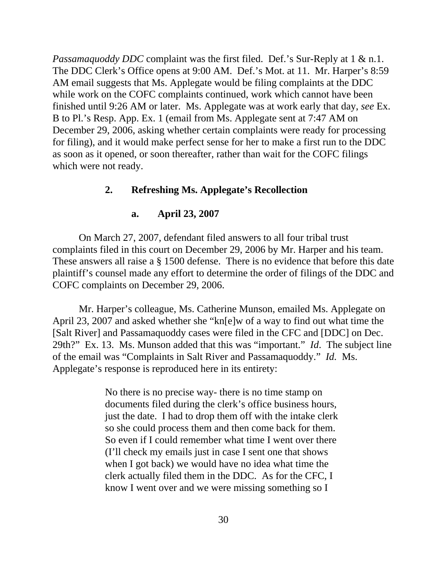*Passamaquoddy DDC* complaint was the first filed. Def.'s Sur-Reply at 1 & n.1. The DDC Clerk's Office opens at 9:00 AM. Def.'s Mot. at 11. Mr. Harper's 8:59 AM email suggests that Ms. Applegate would be filing complaints at the DDC while work on the COFC complaints continued, work which cannot have been finished until 9:26 AM or later. Ms. Applegate was at work early that day, *see* Ex. B to Pl.'s Resp. App. Ex. 1 (email from Ms. Applegate sent at 7:47 AM on December 29, 2006, asking whether certain complaints were ready for processing for filing), and it would make perfect sense for her to make a first run to the DDC as soon as it opened, or soon thereafter, rather than wait for the COFC filings which were not ready.

### **2. Refreshing Ms. Applegate's Recollection**

#### **a. April 23, 2007**

On March 27, 2007, defendant filed answers to all four tribal trust complaints filed in this court on December 29, 2006 by Mr. Harper and his team. These answers all raise a § 1500 defense. There is no evidence that before this date plaintiff's counsel made any effort to determine the order of filings of the DDC and COFC complaints on December 29, 2006.

Mr. Harper's colleague, Ms. Catherine Munson, emailed Ms. Applegate on April 23, 2007 and asked whether she "kn[e]w of a way to find out what time the [Salt River] and Passamaquoddy cases were filed in the CFC and [DDC] on Dec. 29th?" Ex. 13. Ms. Munson added that this was "important." *Id*. The subject line of the email was "Complaints in Salt River and Passamaquoddy." *Id.* Ms. Applegate's response is reproduced here in its entirety:

> No there is no precise way- there is no time stamp on documents filed during the clerk's office business hours, just the date. I had to drop them off with the intake clerk so she could process them and then come back for them. So even if I could remember what time I went over there (I'll check my emails just in case I sent one that shows when I got back) we would have no idea what time the clerk actually filed them in the DDC. As for the CFC, I know I went over and we were missing something so I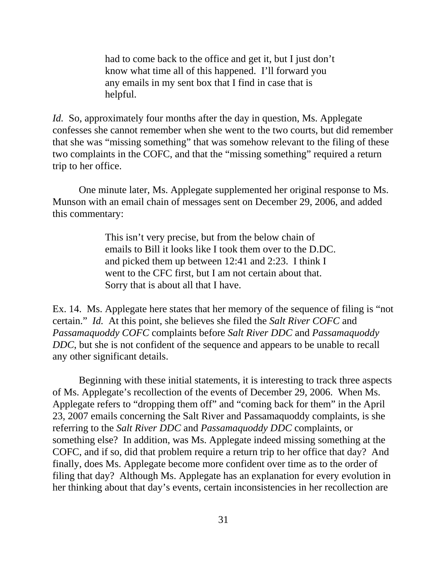had to come back to the office and get it, but I just don't know what time all of this happened. I'll forward you any emails in my sent box that I find in case that is helpful.

*Id.* So, approximately four months after the day in question, Ms. Applegate confesses she cannot remember when she went to the two courts, but did remember that she was "missing something" that was somehow relevant to the filing of these two complaints in the COFC, and that the "missing something" required a return trip to her office.

One minute later, Ms. Applegate supplemented her original response to Ms. Munson with an email chain of messages sent on December 29, 2006, and added this commentary:

> This isn't very precise, but from the below chain of emails to Bill it looks like I took them over to the D.DC. and picked them up between 12:41 and 2:23. I think I went to the CFC first, but I am not certain about that. Sorry that is about all that I have.

Ex. 14. Ms. Applegate here states that her memory of the sequence of filing is "not certain." *Id.* At this point, she believes she filed the *Salt River COFC* and *Passamaquoddy COFC* complaints before *Salt River DDC* and *Passamaquoddy DDC*, but she is not confident of the sequence and appears to be unable to recall any other significant details.

Beginning with these initial statements, it is interesting to track three aspects of Ms. Applegate's recollection of the events of December 29, 2006. When Ms. Applegate refers to "dropping them off" and "coming back for them" in the April 23, 2007 emails concerning the Salt River and Passamaquoddy complaints, is she referring to the *Salt River DDC* and *Passamaquoddy DDC* complaints, or something else? In addition, was Ms. Applegate indeed missing something at the COFC, and if so, did that problem require a return trip to her office that day? And finally, does Ms. Applegate become more confident over time as to the order of filing that day? Although Ms. Applegate has an explanation for every evolution in her thinking about that day's events, certain inconsistencies in her recollection are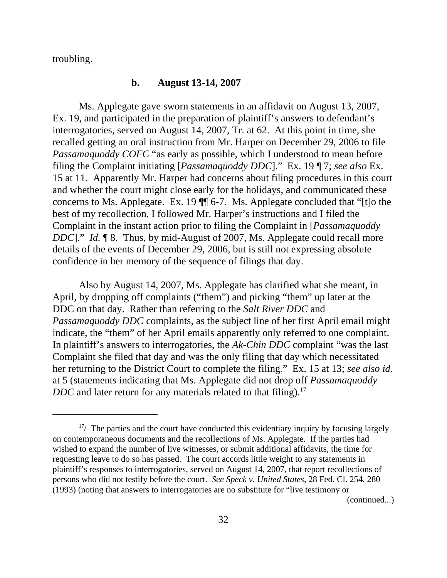troubling.

### **b. August 13-14, 2007**

Ms. Applegate gave sworn statements in an affidavit on August 13, 2007, Ex. 19, and participated in the preparation of plaintiff's answers to defendant's interrogatories, served on August 14, 2007, Tr. at 62. At this point in time, she recalled getting an oral instruction from Mr. Harper on December 29, 2006 to file *Passamaquoddy COFC* "as early as possible, which I understood to mean before filing the Complaint initiating [*Passamaquoddy DDC*]." Ex. 19 ¶ 7; *see also* Ex. 15 at 11. Apparently Mr. Harper had concerns about filing procedures in this court and whether the court might close early for the holidays, and communicated these concerns to Ms. Applegate. Ex. 19 ¶¶ 6-7. Ms. Applegate concluded that "[t]o the best of my recollection, I followed Mr. Harper's instructions and I filed the Complaint in the instant action prior to filing the Complaint in [*Passamaquoddy DDC*]." *Id.* ¶ 8. Thus, by mid-August of 2007, Ms. Applegate could recall more details of the events of December 29, 2006, but is still not expressing absolute confidence in her memory of the sequence of filings that day.

Also by August 14, 2007, Ms. Applegate has clarified what she meant, in April, by dropping off complaints ("them") and picking "them" up later at the DDC on that day. Rather than referring to the *Salt River DDC* and *Passamaquoddy DDC* complaints, as the subject line of her first April email might indicate, the "them" of her April emails apparently only referred to one complaint. In plaintiff's answers to interrogatories, the *Ak-Chin DDC* complaint "was the last Complaint she filed that day and was the only filing that day which necessitated her returning to the District Court to complete the filing." Ex. 15 at 13; *see also id.* at 5 (statements indicating that Ms. Applegate did not drop off *Passamaquoddy DDC* and later return for any materials related to that filing).<sup>17</sup>

(continued...)

 $17/$  The parties and the court have conducted this evidentiary inquiry by focusing largely on contemporaneous documents and the recollections of Ms. Applegate. If the parties had wished to expand the number of live witnesses, or submit additional affidavits, the time for requesting leave to do so has passed. The court accords little weight to any statements in plaintiff's responses to interrogatories, served on August 14, 2007, that report recollections of persons who did not testify before the court. *See Speck v. United States*, 28 Fed. Cl. 254, 280 (1993) (noting that answers to interrogatories are no substitute for "live testimony or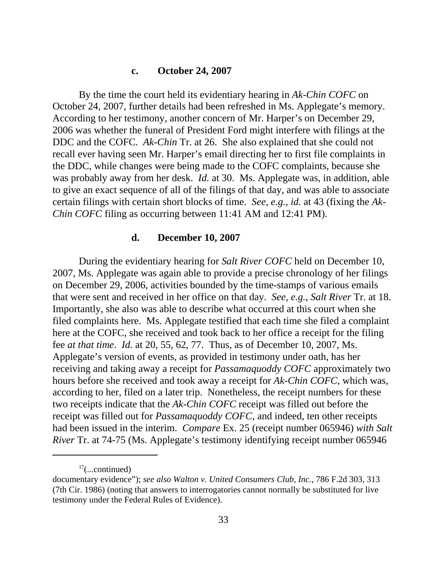#### **c. October 24, 2007**

By the time the court held its evidentiary hearing in *Ak-Chin COFC* on October 24, 2007, further details had been refreshed in Ms. Applegate's memory. According to her testimony, another concern of Mr. Harper's on December 29, 2006 was whether the funeral of President Ford might interfere with filings at the DDC and the COFC. *Ak-Chin* Tr. at 26. She also explained that she could not recall ever having seen Mr. Harper's email directing her to first file complaints in the DDC, while changes were being made to the COFC complaints, because she was probably away from her desk. *Id.* at 30. Ms. Applegate was, in addition, able to give an exact sequence of all of the filings of that day, and was able to associate certain filings with certain short blocks of time. *See, e.g.*, *id.* at 43 (fixing the *Ak-Chin COFC* filing as occurring between 11:41 AM and 12:41 PM).

#### **d. December 10, 2007**

During the evidentiary hearing for *Salt River COFC* held on December 10, 2007, Ms. Applegate was again able to provide a precise chronology of her filings on December 29, 2006, activities bounded by the time-stamps of various emails that were sent and received in her office on that day. *See, e.g.*, *Salt River* Tr. at 18. Importantly, she also was able to describe what occurred at this court when she filed complaints here. Ms. Applegate testified that each time she filed a complaint here at the COFC, she received and took back to her office a receipt for the filing fee *at that time*. *Id.* at 20, 55, 62, 77. Thus, as of December 10, 2007, Ms. Applegate's version of events, as provided in testimony under oath, has her receiving and taking away a receipt for *Passamaquoddy COFC* approximately two hours before she received and took away a receipt for *Ak-Chin COFC*, which was, according to her, filed on a later trip. Nonetheless, the receipt numbers for these two receipts indicate that the *Ak-Chin COFC* receipt was filled out before the receipt was filled out for *Passamaquoddy COFC*, and indeed, ten other receipts had been issued in the interim. *Compare* Ex. 25 (receipt number 065946) *with Salt River* Tr. at 74-75 (Ms. Applegate's testimony identifying receipt number 065946

 $17$ (...continued)

documentary evidence"); *see also Walton v. United Consumers Club, Inc.*, 786 F.2d 303, 313 (7th Cir. 1986) (noting that answers to interrogatories cannot normally be substituted for live testimony under the Federal Rules of Evidence).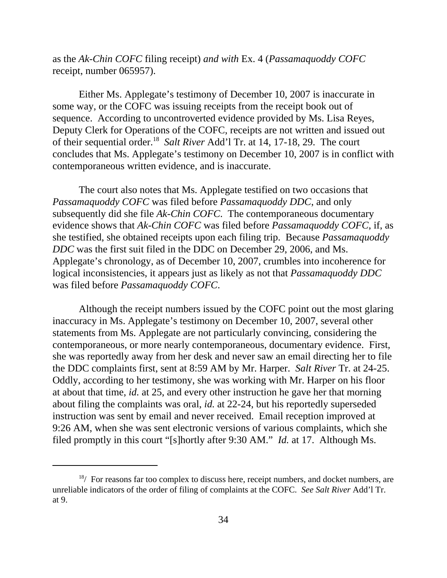as the *Ak-Chin COFC* filing receipt) *and with* Ex. 4 (*Passamaquoddy COFC* receipt, number 065957).

Either Ms. Applegate's testimony of December 10, 2007 is inaccurate in some way, or the COFC was issuing receipts from the receipt book out of sequence. According to uncontroverted evidence provided by Ms. Lisa Reyes, Deputy Clerk for Operations of the COFC, receipts are not written and issued out of their sequential order.18 *Salt River* Add'l Tr. at 14, 17-18, 29. The court concludes that Ms. Applegate's testimony on December 10, 2007 is in conflict with contemporaneous written evidence, and is inaccurate.

The court also notes that Ms. Applegate testified on two occasions that *Passamaquoddy COFC* was filed before *Passamaquoddy DDC*, and only subsequently did she file *Ak-Chin COFC*. The contemporaneous documentary evidence shows that *Ak-Chin COFC* was filed before *Passamaquoddy COFC*, if, as she testified, she obtained receipts upon each filing trip. Because *Passamaquoddy DDC* was the first suit filed in the DDC on December 29, 2006, and Ms. Applegate's chronology, as of December 10, 2007, crumbles into incoherence for logical inconsistencies, it appears just as likely as not that *Passamaquoddy DDC* was filed before *Passamaquoddy COFC*.

Although the receipt numbers issued by the COFC point out the most glaring inaccuracy in Ms. Applegate's testimony on December 10, 2007, several other statements from Ms. Applegate are not particularly convincing, considering the contemporaneous, or more nearly contemporaneous, documentary evidence. First, she was reportedly away from her desk and never saw an email directing her to file the DDC complaints first, sent at 8:59 AM by Mr. Harper. *Salt River* Tr. at 24-25. Oddly, according to her testimony, she was working with Mr. Harper on his floor at about that time, *id.* at 25, and every other instruction he gave her that morning about filing the complaints was oral, *id.* at 22-24, but his reportedly superseded instruction was sent by email and never received. Email reception improved at 9:26 AM, when she was sent electronic versions of various complaints, which she filed promptly in this court "[s]hortly after 9:30 AM." *Id.* at 17. Although Ms.

 $18/$  For reasons far too complex to discuss here, receipt numbers, and docket numbers, are unreliable indicators of the order of filing of complaints at the COFC. *See Salt River* Add'l Tr. at 9.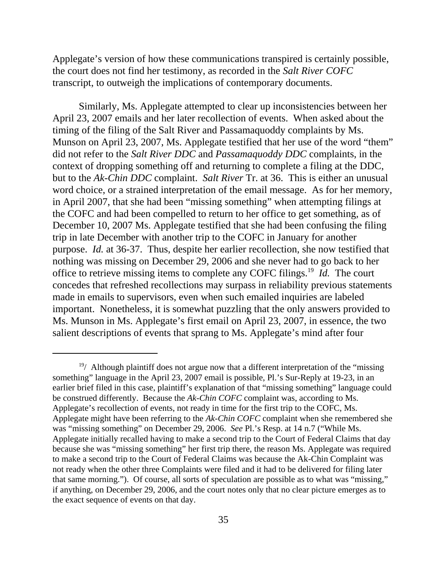Applegate's version of how these communications transpired is certainly possible, the court does not find her testimony, as recorded in the *Salt River COFC* transcript, to outweigh the implications of contemporary documents.

Similarly, Ms. Applegate attempted to clear up inconsistencies between her April 23, 2007 emails and her later recollection of events. When asked about the timing of the filing of the Salt River and Passamaquoddy complaints by Ms. Munson on April 23, 2007, Ms. Applegate testified that her use of the word "them" did not refer to the *Salt River DDC* and *Passamaquoddy DDC* complaints, in the context of dropping something off and returning to complete a filing at the DDC, but to the *Ak-Chin DDC* complaint. *Salt River* Tr. at 36. This is either an unusual word choice, or a strained interpretation of the email message. As for her memory, in April 2007, that she had been "missing something" when attempting filings at the COFC and had been compelled to return to her office to get something, as of December 10, 2007 Ms. Applegate testified that she had been confusing the filing trip in late December with another trip to the COFC in January for another purpose. *Id.* at 36-37. Thus, despite her earlier recollection, she now testified that nothing was missing on December 29, 2006 and she never had to go back to her office to retrieve missing items to complete any COFC filings.19 *Id.* The court concedes that refreshed recollections may surpass in reliability previous statements made in emails to supervisors, even when such emailed inquiries are labeled important. Nonetheless, it is somewhat puzzling that the only answers provided to Ms. Munson in Ms. Applegate's first email on April 23, 2007, in essence, the two salient descriptions of events that sprang to Ms. Applegate's mind after four

 $19/$  Although plaintiff does not argue now that a different interpretation of the "missing" something" language in the April 23, 2007 email is possible, Pl.'s Sur-Reply at 19-23, in an earlier brief filed in this case, plaintiff's explanation of that "missing something" language could be construed differently. Because the *Ak-Chin COFC* complaint was, according to Ms. Applegate's recollection of events, not ready in time for the first trip to the COFC, Ms. Applegate might have been referring to the *Ak-Chin COFC* complaint when she remembered she was "missing something" on December 29, 2006. *See* Pl.'s Resp. at 14 n.7 ("While Ms. Applegate initially recalled having to make a second trip to the Court of Federal Claims that day because she was "missing something" her first trip there, the reason Ms. Applegate was required to make a second trip to the Court of Federal Claims was because the Ak-Chin Complaint was not ready when the other three Complaints were filed and it had to be delivered for filing later that same morning."). Of course, all sorts of speculation are possible as to what was "missing," if anything, on December 29, 2006, and the court notes only that no clear picture emerges as to the exact sequence of events on that day.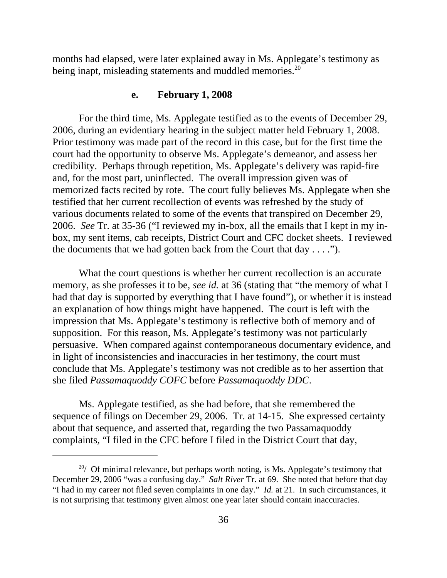months had elapsed, were later explained away in Ms. Applegate's testimony as being inapt, misleading statements and muddled memories.<sup>20</sup>

#### **e. February 1, 2008**

For the third time, Ms. Applegate testified as to the events of December 29, 2006, during an evidentiary hearing in the subject matter held February 1, 2008. Prior testimony was made part of the record in this case, but for the first time the court had the opportunity to observe Ms. Applegate's demeanor, and assess her credibility. Perhaps through repetition, Ms. Applegate's delivery was rapid-fire and, for the most part, uninflected. The overall impression given was of memorized facts recited by rote. The court fully believes Ms. Applegate when she testified that her current recollection of events was refreshed by the study of various documents related to some of the events that transpired on December 29, 2006. *See* Tr. at 35-36 ("I reviewed my in-box, all the emails that I kept in my inbox, my sent items, cab receipts, District Court and CFC docket sheets. I reviewed the documents that we had gotten back from the Court that  $day \ldots$ .").

What the court questions is whether her current recollection is an accurate memory, as she professes it to be, *see id.* at 36 (stating that "the memory of what I had that day is supported by everything that I have found"), or whether it is instead an explanation of how things might have happened. The court is left with the impression that Ms. Applegate's testimony is reflective both of memory and of supposition. For this reason, Ms. Applegate's testimony was not particularly persuasive. When compared against contemporaneous documentary evidence, and in light of inconsistencies and inaccuracies in her testimony, the court must conclude that Ms. Applegate's testimony was not credible as to her assertion that she filed *Passamaquoddy COFC* before *Passamaquoddy DDC*.

Ms. Applegate testified, as she had before, that she remembered the sequence of filings on December 29, 2006. Tr. at 14-15. She expressed certainty about that sequence, and asserted that, regarding the two Passamaquoddy complaints, "I filed in the CFC before I filed in the District Court that day,

 $20/$  Of minimal relevance, but perhaps worth noting, is Ms. Applegate's testimony that December 29, 2006 "was a confusing day." *Salt River* Tr. at 69. She noted that before that day "I had in my career not filed seven complaints in one day." *Id.* at 21. In such circumstances, it is not surprising that testimony given almost one year later should contain inaccuracies.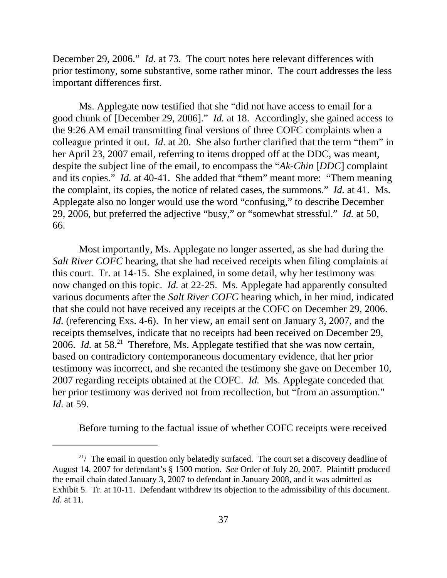December 29, 2006." *Id.* at 73. The court notes here relevant differences with prior testimony, some substantive, some rather minor. The court addresses the less important differences first.

Ms. Applegate now testified that she "did not have access to email for a good chunk of [December 29, 2006]." *Id.* at 18. Accordingly, she gained access to the 9:26 AM email transmitting final versions of three COFC complaints when a colleague printed it out. *Id.* at 20. She also further clarified that the term "them" in her April 23, 2007 email, referring to items dropped off at the DDC, was meant, despite the subject line of the email, to encompass the "*Ak-Chin* [*DDC*] complaint and its copies." *Id.* at 40-41. She added that "them" meant more: "Them meaning the complaint, its copies, the notice of related cases, the summons." *Id.* at 41. Ms. Applegate also no longer would use the word "confusing," to describe December 29, 2006, but preferred the adjective "busy," or "somewhat stressful." *Id.* at 50, 66.

Most importantly, Ms. Applegate no longer asserted, as she had during the *Salt River COFC* hearing, that she had received receipts when filing complaints at this court. Tr. at 14-15.She explained, in some detail, why her testimony was now changed on this topic. *Id.* at 22-25. Ms. Applegate had apparently consulted various documents after the *Salt River COFC* hearing which, in her mind, indicated that she could not have received any receipts at the COFC on December 29, 2006. *Id.* (referencing Exs. 4-6). In her view, an email sent on January 3, 2007, and the receipts themselves, indicate that no receipts had been received on December 29, 2006. *Id.* at 58.<sup>21</sup> Therefore, Ms. Applegate testified that she was now certain, based on contradictory contemporaneous documentary evidence, that her prior testimony was incorrect, and she recanted the testimony she gave on December 10, 2007 regarding receipts obtained at the COFC. *Id.* Ms. Applegate conceded that her prior testimony was derived not from recollection, but "from an assumption." *Id.* at 59.

Before turning to the factual issue of whether COFC receipts were received

 $2^{1/2}$  The email in question only belatedly surfaced. The court set a discovery deadline of August 14, 2007 for defendant's § 1500 motion. *See* Order of July 20, 2007. Plaintiff produced the email chain dated January 3, 2007 to defendant in January 2008, and it was admitted as Exhibit 5. Tr. at 10-11. Defendant withdrew its objection to the admissibility of this document. *Id.* at 11.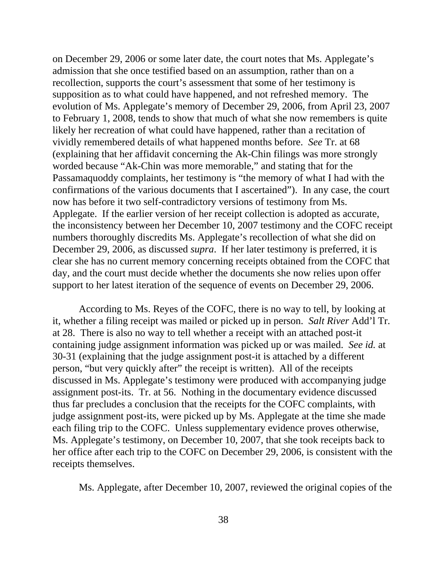on December 29, 2006 or some later date, the court notes that Ms. Applegate's admission that she once testified based on an assumption, rather than on a recollection, supports the court's assessment that some of her testimony is supposition as to what could have happened, and not refreshed memory. The evolution of Ms. Applegate's memory of December 29, 2006, from April 23, 2007 to February 1, 2008, tends to show that much of what she now remembers is quite likely her recreation of what could have happened, rather than a recitation of vividly remembered details of what happened months before. *See* Tr. at 68 (explaining that her affidavit concerning the Ak-Chin filings was more strongly worded because "Ak-Chin was more memorable," and stating that for the Passamaquoddy complaints, her testimony is "the memory of what I had with the confirmations of the various documents that I ascertained"). In any case, the court now has before it two self-contradictory versions of testimony from Ms. Applegate. If the earlier version of her receipt collection is adopted as accurate, the inconsistency between her December 10, 2007 testimony and the COFC receipt numbers thoroughly discredits Ms. Applegate's recollection of what she did on December 29, 2006, as discussed *supra*. If her later testimony is preferred, it is clear she has no current memory concerning receipts obtained from the COFC that day, and the court must decide whether the documents she now relies upon offer support to her latest iteration of the sequence of events on December 29, 2006.

According to Ms. Reyes of the COFC, there is no way to tell, by looking at it, whether a filing receipt was mailed or picked up in person. *Salt River* Add'l Tr. at 28. There is also no way to tell whether a receipt with an attached post-it containing judge assignment information was picked up or was mailed. *See id.* at 30-31 (explaining that the judge assignment post-it is attached by a different person, "but very quickly after" the receipt is written). All of the receipts discussed in Ms. Applegate's testimony were produced with accompanying judge assignment post-its. Tr. at 56. Nothing in the documentary evidence discussed thus far precludes a conclusion that the receipts for the COFC complaints, with judge assignment post-its, were picked up by Ms. Applegate at the time she made each filing trip to the COFC. Unless supplementary evidence proves otherwise, Ms. Applegate's testimony, on December 10, 2007, that she took receipts back to her office after each trip to the COFC on December 29, 2006, is consistent with the receipts themselves.

Ms. Applegate, after December 10, 2007, reviewed the original copies of the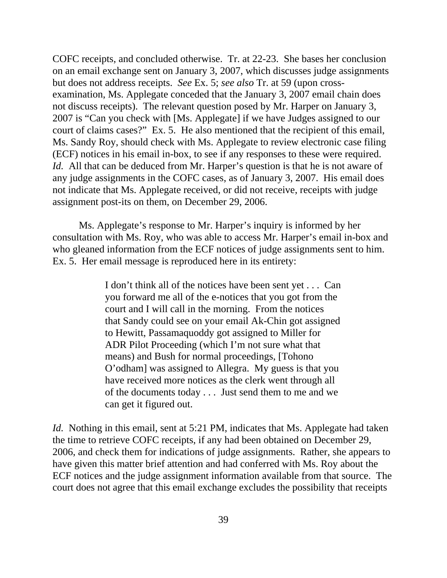COFC receipts, and concluded otherwise. Tr. at 22-23. She bases her conclusion on an email exchange sent on January 3, 2007, which discusses judge assignments but does not address receipts. *See* Ex. 5; *see also* Tr. at 59 (upon crossexamination, Ms. Applegate conceded that the January 3, 2007 email chain does not discuss receipts). The relevant question posed by Mr. Harper on January 3, 2007 is "Can you check with [Ms. Applegate] if we have Judges assigned to our court of claims cases?" Ex. 5. He also mentioned that the recipient of this email, Ms. Sandy Roy, should check with Ms. Applegate to review electronic case filing (ECF) notices in his email in-box, to see if any responses to these were required. *Id.* All that can be deduced from Mr. Harper's question is that he is not aware of any judge assignments in the COFC cases, as of January 3, 2007. His email does not indicate that Ms. Applegate received, or did not receive, receipts with judge assignment post-its on them, on December 29, 2006.

Ms. Applegate's response to Mr. Harper's inquiry is informed by her consultation with Ms. Roy, who was able to access Mr. Harper's email in-box and who gleaned information from the ECF notices of judge assignments sent to him. Ex. 5. Her email message is reproduced here in its entirety:

> I don't think all of the notices have been sent yet . . . Can you forward me all of the e-notices that you got from the court and I will call in the morning. From the notices that Sandy could see on your email Ak-Chin got assigned to Hewitt, Passamaquoddy got assigned to Miller for ADR Pilot Proceeding (which I'm not sure what that means) and Bush for normal proceedings, [Tohono O'odham] was assigned to Allegra. My guess is that you have received more notices as the clerk went through all of the documents today . . . Just send them to me and we can get it figured out.

*Id.* Nothing in this email, sent at 5:21 PM, indicates that Ms. Applegate had taken the time to retrieve COFC receipts, if any had been obtained on December 29, 2006, and check them for indications of judge assignments. Rather, she appears to have given this matter brief attention and had conferred with Ms. Roy about the ECF notices and the judge assignment information available from that source. The court does not agree that this email exchange excludes the possibility that receipts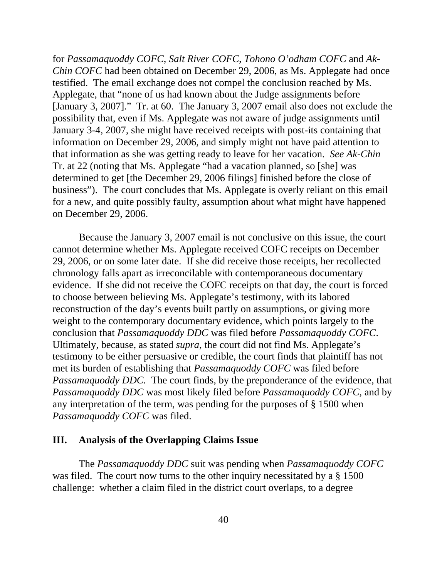for *Passamaquoddy COFC*, *Salt River COFC*, *Tohono O'odham COFC* and *Ak-Chin COFC* had been obtained on December 29, 2006, as Ms. Applegate had once testified. The email exchange does not compel the conclusion reached by Ms. Applegate, that "none of us had known about the Judge assignments before [January 3, 2007]." Tr. at 60. The January 3, 2007 email also does not exclude the possibility that, even if Ms. Applegate was not aware of judge assignments until January 3-4, 2007, she might have received receipts with post-its containing that information on December 29, 2006, and simply might not have paid attention to that information as she was getting ready to leave for her vacation. *See Ak-Chin* Tr. at 22 (noting that Ms. Applegate "had a vacation planned, so [she] was determined to get [the December 29, 2006 filings] finished before the close of business"). The court concludes that Ms. Applegate is overly reliant on this email for a new, and quite possibly faulty, assumption about what might have happened on December 29, 2006.

Because the January 3, 2007 email is not conclusive on this issue, the court cannot determine whether Ms. Applegate received COFC receipts on December 29, 2006, or on some later date. If she did receive those receipts, her recollected chronology falls apart as irreconcilable with contemporaneous documentary evidence. If she did not receive the COFC receipts on that day, the court is forced to choose between believing Ms. Applegate's testimony, with its labored reconstruction of the day's events built partly on assumptions, or giving more weight to the contemporary documentary evidence, which points largely to the conclusion that *Passamaquoddy DDC* was filed before *Passamaquoddy COFC*. Ultimately, because, as stated *supra*, the court did not find Ms. Applegate's testimony to be either persuasive or credible, the court finds that plaintiff has not met its burden of establishing that *Passamaquoddy COFC* was filed before *Passamaquoddy DDC.* The court finds, by the preponderance of the evidence, that *Passamaquoddy DDC* was most likely filed before *Passamaquoddy COFC*, and by any interpretation of the term, was pending for the purposes of § 1500 when *Passamaquoddy COFC* was filed.

#### **III. Analysis of the Overlapping Claims Issue**

The *Passamaquoddy DDC* suit was pending when *Passamaquoddy COFC* was filed. The court now turns to the other inquiry necessitated by a § 1500 challenge: whether a claim filed in the district court overlaps, to a degree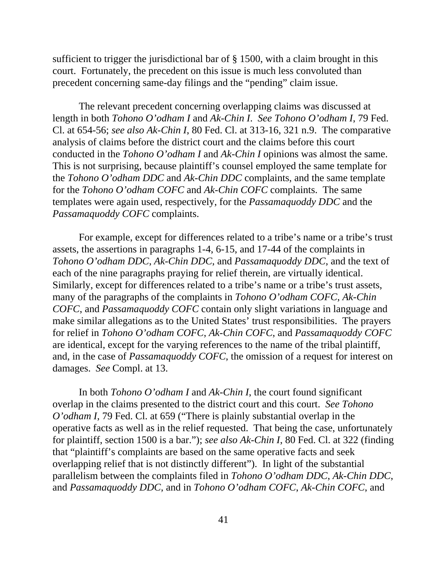sufficient to trigger the jurisdictional bar of § 1500, with a claim brought in this court. Fortunately, the precedent on this issue is much less convoluted than precedent concerning same-day filings and the "pending" claim issue.

The relevant precedent concerning overlapping claims was discussed at length in both *Tohono O'odham I* and *Ak-Chin I*. *See Tohono O'odham I*, 79 Fed. Cl. at 654-56; *see also Ak-Chin I*, 80 Fed. Cl. at 313-16, 321 n.9. The comparative analysis of claims before the district court and the claims before this court conducted in the *Tohono O'odham I* and *Ak-Chin I* opinions was almost the same. This is not surprising, because plaintiff's counsel employed the same template for the *Tohono O'odham DDC* and *Ak-Chin DDC* complaints, and the same template for the *Tohono O'odham COFC* and *Ak-Chin COFC* complaints. The same templates were again used, respectively, for the *Passamaquoddy DDC* and the *Passamaquoddy COFC* complaints.

For example, except for differences related to a tribe's name or a tribe's trust assets, the assertions in paragraphs 1-4, 6-15, and 17-44 of the complaints in *Tohono O'odham DDC*, *Ak-Chin DDC*, and *Passamaquoddy DDC*, and the text of each of the nine paragraphs praying for relief therein, are virtually identical. Similarly, except for differences related to a tribe's name or a tribe's trust assets, many of the paragraphs of the complaints in *Tohono O'odham COFC*, *Ak-Chin COFC*, and *Passamaquoddy COFC* contain only slight variations in language and make similar allegations as to the United States' trust responsibilities. The prayers for relief in *Tohono O'odham COFC*, *Ak-Chin COFC*, and *Passamaquoddy COFC* are identical, except for the varying references to the name of the tribal plaintiff, and, in the case of *Passamaquoddy COFC*, the omission of a request for interest on damages. *See* Compl. at 13.

In both *Tohono O'odham I* and *Ak-Chin I*, the court found significant overlap in the claims presented to the district court and this court. *See Tohono O'odham I*, 79 Fed. Cl. at 659 ("There is plainly substantial overlap in the operative facts as well as in the relief requested. That being the case, unfortunately for plaintiff, section 1500 is a bar."); *see also Ak-Chin I*, 80 Fed. Cl. at 322 (finding that "plaintiff's complaints are based on the same operative facts and seek overlapping relief that is not distinctly different"). In light of the substantial parallelism between the complaints filed in *Tohono O'odham DDC*, *Ak-Chin DDC*, and *Passamaquoddy DDC*, and in *Tohono O'odham COFC*, *Ak-Chin COFC*, and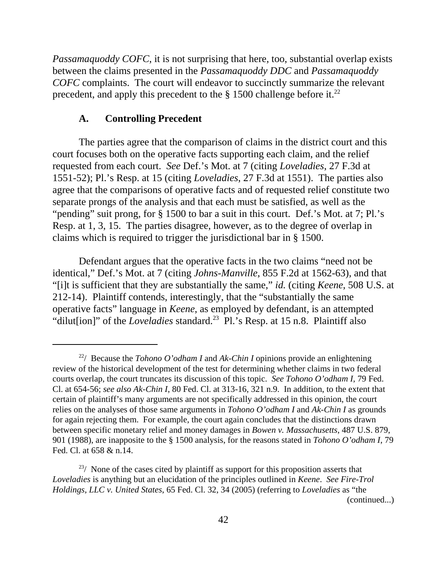*Passamaquoddy COFC*, it is not surprising that here, too, substantial overlap exists between the claims presented in the *Passamaquoddy DDC* and *Passamaquoddy COFC* complaints. The court will endeavor to succinctly summarize the relevant precedent, and apply this precedent to the  $\S$  1500 challenge before it.<sup>22</sup>

#### **A. Controlling Precedent**

The parties agree that the comparison of claims in the district court and this court focuses both on the operative facts supporting each claim, and the relief requested from each court. *See* Def.'s Mot. at 7 (citing *Loveladies*, 27 F.3d at 1551-52); Pl.'s Resp. at 15 (citing *Loveladies*, 27 F.3d at 1551). The parties also agree that the comparisons of operative facts and of requested relief constitute two separate prongs of the analysis and that each must be satisfied, as well as the "pending" suit prong, for § 1500 to bar a suit in this court. Def.'s Mot. at 7; Pl.'s Resp. at 1, 3, 15. The parties disagree, however, as to the degree of overlap in claims which is required to trigger the jurisdictional bar in § 1500.

Defendant argues that the operative facts in the two claims "need not be identical," Def.'s Mot. at 7 (citing *Johns-Manville*, 855 F.2d at 1562-63), and that "[i]t is sufficient that they are substantially the same," *id.* (citing *Keene*, 508 U.S. at 212-14). Plaintiff contends, interestingly, that the "substantially the same operative facts" language in *Keene*, as employed by defendant, is an attempted "diluterial" of the *Loveladies* standard.<sup>23</sup> Pl.'s Resp. at 15 n.8. Plaintiff also

<sup>22/</sup> Because the *Tohono O'odham I* and *Ak-Chin I* opinions provide an enlightening review of the historical development of the test for determining whether claims in two federal courts overlap, the court truncates its discussion of this topic. *See Tohono O'odham I*, 79 Fed. Cl. at 654-56; *see also Ak-Chin I*, 80 Fed. Cl. at 313-16, 321 n.9. In addition, to the extent that certain of plaintiff's many arguments are not specifically addressed in this opinion, the court relies on the analyses of those same arguments in *Tohono O'odham I* and *Ak-Chin I* as grounds for again rejecting them. For example, the court again concludes that the distinctions drawn between specific monetary relief and money damages in *Bowen v. Massachusetts*, 487 U.S. 879, 901 (1988), are inapposite to the § 1500 analysis, for the reasons stated in *Tohono O'odham I*, 79 Fed. Cl. at 658 & n.14.

 $23/$  None of the cases cited by plaintiff as support for this proposition asserts that *Loveladies* is anything but an elucidation of the principles outlined in *Keene*. *See Fire-Trol Holdings, LLC v. United States*, 65 Fed. Cl. 32, 34 (2005) (referring to *Loveladies* as "the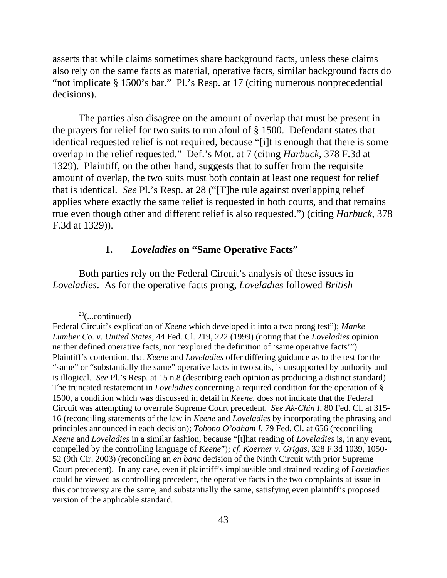asserts that while claims sometimes share background facts, unless these claims also rely on the same facts as material, operative facts, similar background facts do "not implicate § 1500's bar." Pl.'s Resp. at 17 (citing numerous nonprecedential decisions).

The parties also disagree on the amount of overlap that must be present in the prayers for relief for two suits to run afoul of § 1500. Defendant states that identical requested relief is not required, because "[i]t is enough that there is some overlap in the relief requested." Def.'s Mot. at 7 (citing *Harbuck*, 378 F.3d at 1329). Plaintiff, on the other hand, suggests that to suffer from the requisite amount of overlap, the two suits must both contain at least one request for relief that is identical. *See* Pl.'s Resp. at 28 ("[T]he rule against overlapping relief applies where exactly the same relief is requested in both courts, and that remains true even though other and different relief is also requested.") (citing *Harbuck*, 378 F.3d at 1329)).

### **1.** *Loveladies* **on "Same Operative Facts**"

Both parties rely on the Federal Circuit's analysis of these issues in *Loveladies*. As for the operative facts prong, *Loveladies* followed *British*

 $23$ (...continued)

Federal Circuit's explication of *Keene* which developed it into a two prong test"); *Manke Lumber Co. v. United States*, 44 Fed. Cl. 219, 222 (1999) (noting that the *Loveladies* opinion neither defined operative facts, nor "explored the definition of 'same operative facts'"). Plaintiff's contention, that *Keene* and *Loveladies* offer differing guidance as to the test for the "same" or "substantially the same" operative facts in two suits, is unsupported by authority and is illogical. *See* Pl.'s Resp. at 15 n.8 (describing each opinion as producing a distinct standard). The truncated restatement in *Loveladies* concerning a required condition for the operation of § 1500, a condition which was discussed in detail in *Keene*, does not indicate that the Federal Circuit was attempting to overrule Supreme Court precedent. *See Ak-Chin I*, 80 Fed. Cl. at 315- 16 (reconciling statements of the law in *Keene* and *Loveladies* by incorporating the phrasing and principles announced in each decision); *Tohono O'odham I*, 79 Fed. Cl. at 656 (reconciling *Keene* and *Loveladies* in a similar fashion, because "[t]hat reading of *Loveladies* is, in any event, compelled by the controlling language of *Keene*"); *cf*. *Koerner v. Grigas*, 328 F.3d 1039, 1050- 52 (9th Cir. 2003) (reconciling an *en banc* decision of the Ninth Circuit with prior Supreme Court precedent). In any case, even if plaintiff's implausible and strained reading of *Loveladies* could be viewed as controlling precedent, the operative facts in the two complaints at issue in this controversy are the same, and substantially the same, satisfying even plaintiff's proposed version of the applicable standard.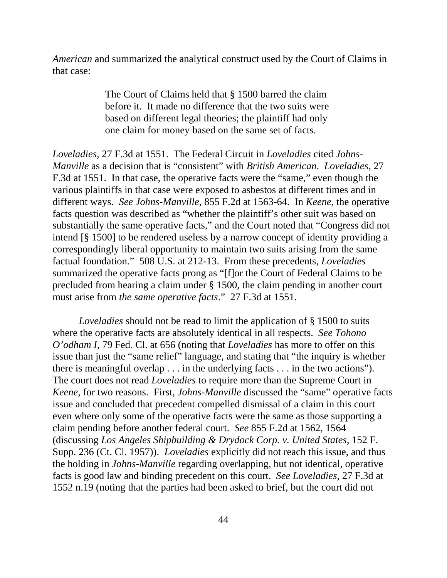*American* and summarized the analytical construct used by the Court of Claims in that case:

> The Court of Claims held that § 1500 barred the claim before it. It made no difference that the two suits were based on different legal theories; the plaintiff had only one claim for money based on the same set of facts.

*Loveladies*, 27 F.3d at 1551. The Federal Circuit in *Loveladies* cited *Johns-Manville* as a decision that is "consistent" with *British American*. *Loveladies*, 27 F.3d at 1551. In that case, the operative facts were the "same," even though the various plaintiffs in that case were exposed to asbestos at different times and in different ways. *See Johns-Manville*, 855 F.2d at 1563-64. In *Keene*, the operative facts question was described as "whether the plaintiff's other suit was based on substantially the same operative facts," and the Court noted that "Congress did not intend [§ 1500] to be rendered useless by a narrow concept of identity providing a correspondingly liberal opportunity to maintain two suits arising from the same factual foundation." 508 U.S. at 212-13. From these precedents, *Loveladies* summarized the operative facts prong as "[f]or the Court of Federal Claims to be precluded from hearing a claim under § 1500, the claim pending in another court must arise from *the same operative facts*." 27 F.3d at 1551.

*Loveladies* should not be read to limit the application of § 1500 to suits where the operative facts are absolutely identical in all respects. *See Tohono O'odham I*, 79 Fed. Cl. at 656 (noting that *Loveladies* has more to offer on this issue than just the "same relief" language, and stating that "the inquiry is whether there is meaningful overlap . . . in the underlying facts . . . in the two actions"). The court does not read *Loveladies* to require more than the Supreme Court in *Keene*, for two reasons. First, *Johns-Manville* discussed the "same" operative facts issue and concluded that precedent compelled dismissal of a claim in this court even where only some of the operative facts were the same as those supporting a claim pending before another federal court. *See* 855 F.2d at 1562, 1564 (discussing *Los Angeles Shipbuilding & Drydock Corp. v. United States*, 152 F. Supp. 236 (Ct. Cl. 1957)). *Loveladies* explicitly did not reach this issue, and thus the holding in *Johns-Manville* regarding overlapping, but not identical, operative facts is good law and binding precedent on this court. *See Loveladies*, 27 F.3d at 1552 n.19 (noting that the parties had been asked to brief, but the court did not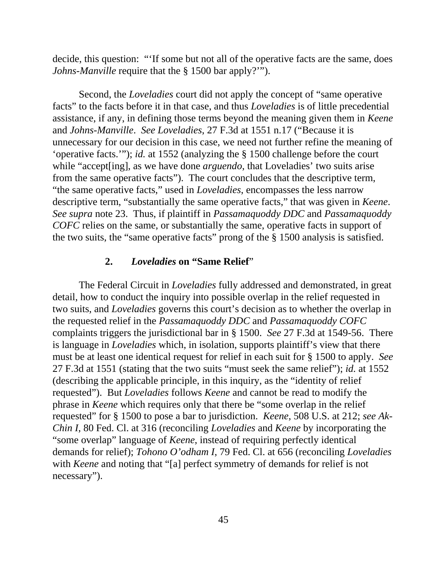decide, this question: "'If some but not all of the operative facts are the same, does *Johns-Manville* require that the § 1500 bar apply?'").

Second, the *Loveladies* court did not apply the concept of "same operative facts" to the facts before it in that case, and thus *Loveladies* is of little precedential assistance, if any, in defining those terms beyond the meaning given them in *Keene* and *Johns-Manville*. *See Loveladies*, 27 F.3d at 1551 n.17 ("Because it is unnecessary for our decision in this case, we need not further refine the meaning of 'operative facts.'"); *id.* at 1552 (analyzing the § 1500 challenge before the court while "accept<sup>[ing]</sup>, as we have done *arguendo*, that Loveladies' two suits arise from the same operative facts"). The court concludes that the descriptive term, "the same operative facts," used in *Loveladies*, encompasses the less narrow descriptive term, "substantially the same operative facts," that was given in *Keene*. *See supra* note 23. Thus, if plaintiff in *Passamaquoddy DDC* and *Passamaquoddy COFC* relies on the same, or substantially the same, operative facts in support of the two suits, the "same operative facts" prong of the § 1500 analysis is satisfied.

#### **2.** *Loveladies* **on "Same Relief**"

The Federal Circuit in *Loveladies* fully addressed and demonstrated, in great detail, how to conduct the inquiry into possible overlap in the relief requested in two suits, and *Loveladies* governs this court's decision as to whether the overlap in the requested relief in the *Passamaquoddy DDC* and *Passamaquoddy COFC* complaints triggers the jurisdictional bar in § 1500. *See* 27 F.3d at 1549-56. There is language in *Loveladies* which, in isolation, supports plaintiff's view that there must be at least one identical request for relief in each suit for § 1500 to apply. *See* 27 F.3d at 1551 (stating that the two suits "must seek the same relief"); *id.* at 1552 (describing the applicable principle, in this inquiry, as the "identity of relief requested"). But *Loveladies* follows *Keene* and cannot be read to modify the phrase in *Keene* which requires only that there be "some overlap in the relief requested" for § 1500 to pose a bar to jurisdiction. *Keene*, 508 U.S. at 212; *see Ak-Chin I*, 80 Fed. Cl. at 316 (reconciling *Loveladies* and *Keene* by incorporating the "some overlap" language of *Keene*, instead of requiring perfectly identical demands for relief); *Tohono O'odham I*, 79 Fed. Cl. at 656 (reconciling *Loveladies* with *Keene* and noting that "[a] perfect symmetry of demands for relief is not necessary").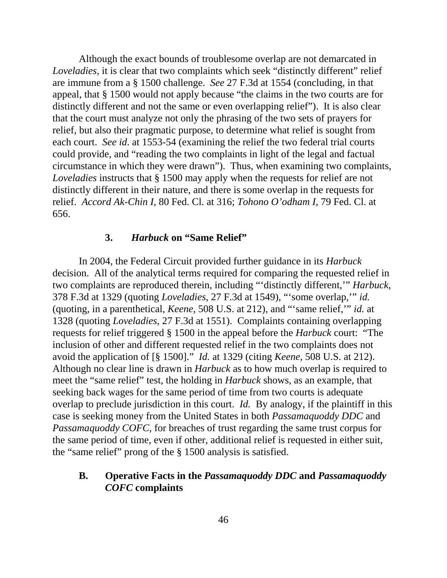Although the exact bounds of troublesome overlap are not demarcated in *Loveladies*, it is clear that two complaints which seek "distinctly different" relief are immune from a § 1500 challenge. *See* 27 F.3d at 1554 (concluding, in that appeal, that § 1500 would not apply because "the claims in the two courts are for distinctly different and not the same or even overlapping relief"). It is also clear that the court must analyze not only the phrasing of the two sets of prayers for relief, but also their pragmatic purpose, to determine what relief is sought from each court. *See id*. at 1553-54 (examining the relief the two federal trial courts could provide, and "reading the two complaints in light of the legal and factual circumstance in which they were drawn"). Thus, when examining two complaints, *Loveladies* instructs that § 1500 may apply when the requests for relief are not distinctly different in their nature, and there is some overlap in the requests for relief. *Accord Ak-Chin I*, 80 Fed. Cl. at 316; *Tohono O'odham I*, 79 Fed. Cl. at 656.

### **3.** *Harbuck* **on "Same Relief"**

In 2004, the Federal Circuit provided further guidance in its *Harbuck* decision. All of the analytical terms required for comparing the requested relief in two complaints are reproduced therein, including "'distinctly different,'" *Harbuck*, 378 F.3d at 1329 (quoting *Loveladies*, 27 F.3d at 1549), "'some overlap,'" *id.* (quoting, in a parenthetical, *Keene*, 508 U.S. at 212), and "'same relief,'" *id.* at 1328 (quoting *Loveladies*, 27 F.3d at 1551). Complaints containing overlapping requests for relief triggered § 1500 in the appeal before the *Harbuck* court: "The inclusion of other and different requested relief in the two complaints does not avoid the application of [§ 1500]." *Id.* at 1329 (citing *Keene*, 508 U.S. at 212). Although no clear line is drawn in *Harbuck* as to how much overlap is required to meet the "same relief" test, the holding in *Harbuck* shows, as an example, that seeking back wages for the same period of time from two courts is adequate overlap to preclude jurisdiction in this court. *Id.* By analogy, if the plaintiff in this case is seeking money from the United States in both *Passamaquoddy DDC* and *Passamaquoddy COFC*, for breaches of trust regarding the same trust corpus for the same period of time, even if other, additional relief is requested in either suit, the "same relief" prong of the § 1500 analysis is satisfied.

### **B. Operative Facts in the** *Passamaquoddy DDC* **and** *Passamaquoddy COFC* **complaints**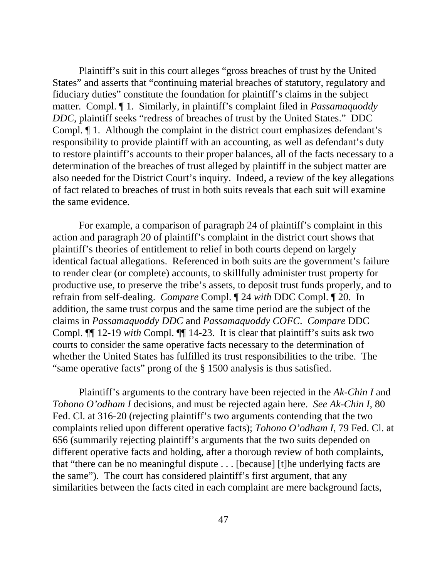Plaintiff's suit in this court alleges "gross breaches of trust by the United States" and asserts that "continuing material breaches of statutory, regulatory and fiduciary duties" constitute the foundation for plaintiff's claims in the subject matter. Compl. ¶ 1. Similarly, in plaintiff's complaint filed in *Passamaquoddy DDC*, plaintiff seeks "redress of breaches of trust by the United States." DDC Compl. ¶ 1. Although the complaint in the district court emphasizes defendant's responsibility to provide plaintiff with an accounting, as well as defendant's duty to restore plaintiff's accounts to their proper balances, all of the facts necessary to a determination of the breaches of trust alleged by plaintiff in the subject matter are also needed for the District Court's inquiry. Indeed, a review of the key allegations of fact related to breaches of trust in both suits reveals that each suit will examine the same evidence.

For example, a comparison of paragraph 24 of plaintiff's complaint in this action and paragraph 20 of plaintiff's complaint in the district court shows that plaintiff's theories of entitlement to relief in both courts depend on largely identical factual allegations. Referenced in both suits are the government's failure to render clear (or complete) accounts, to skillfully administer trust property for productive use, to preserve the tribe's assets, to deposit trust funds properly, and to refrain from self-dealing. *Compare* Compl. ¶ 24 *with* DDC Compl. ¶ 20. In addition, the same trust corpus and the same time period are the subject of the claims in *Passamaquoddy DDC* and *Passamaquoddy COFC*. *Compare* DDC Compl. ¶¶ 12-19 *with* Compl. ¶¶ 14-23. It is clear that plaintiff's suits ask two courts to consider the same operative facts necessary to the determination of whether the United States has fulfilled its trust responsibilities to the tribe. The "same operative facts" prong of the § 1500 analysis is thus satisfied.

Plaintiff's arguments to the contrary have been rejected in the *Ak-Chin I* and *Tohono O'odham I* decisions, and must be rejected again here. *See Ak-Chin I*, 80 Fed. Cl. at 316-20 (rejecting plaintiff's two arguments contending that the two complaints relied upon different operative facts); *Tohono O'odham I*, 79 Fed. Cl. at 656 (summarily rejecting plaintiff's arguments that the two suits depended on different operative facts and holding, after a thorough review of both complaints, that "there can be no meaningful dispute . . . [because] [t]he underlying facts are the same"). The court has considered plaintiff's first argument, that any similarities between the facts cited in each complaint are mere background facts,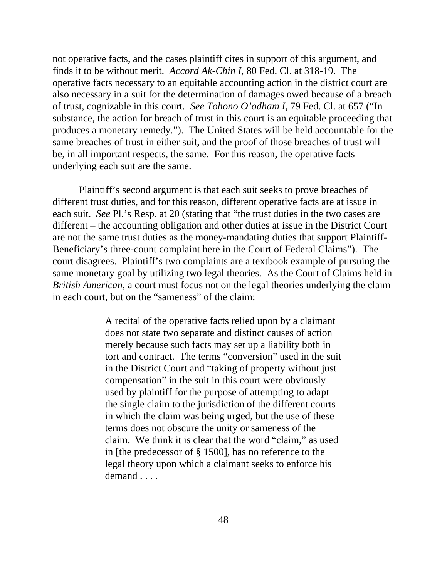not operative facts, and the cases plaintiff cites in support of this argument, and finds it to be without merit. *Accord Ak-Chin I*, 80 Fed. Cl. at 318-19. The operative facts necessary to an equitable accounting action in the district court are also necessary in a suit for the determination of damages owed because of a breach of trust, cognizable in this court. *See Tohono O'odham I*, 79 Fed. Cl. at 657 ("In substance, the action for breach of trust in this court is an equitable proceeding that produces a monetary remedy."). The United States will be held accountable for the same breaches of trust in either suit, and the proof of those breaches of trust will be, in all important respects, the same. For this reason, the operative facts underlying each suit are the same.

Plaintiff's second argument is that each suit seeks to prove breaches of different trust duties, and for this reason, different operative facts are at issue in each suit. *See* Pl.'s Resp. at 20 (stating that "the trust duties in the two cases are different – the accounting obligation and other duties at issue in the District Court are not the same trust duties as the money-mandating duties that support Plaintiff-Beneficiary's three-count complaint here in the Court of Federal Claims"). The court disagrees. Plaintiff's two complaints are a textbook example of pursuing the same monetary goal by utilizing two legal theories. As the Court of Claims held in *British American*, a court must focus not on the legal theories underlying the claim in each court, but on the "sameness" of the claim:

> A recital of the operative facts relied upon by a claimant does not state two separate and distinct causes of action merely because such facts may set up a liability both in tort and contract. The terms "conversion" used in the suit in the District Court and "taking of property without just compensation" in the suit in this court were obviously used by plaintiff for the purpose of attempting to adapt the single claim to the jurisdiction of the different courts in which the claim was being urged, but the use of these terms does not obscure the unity or sameness of the claim. We think it is clear that the word "claim," as used in [the predecessor of § 1500], has no reference to the legal theory upon which a claimant seeks to enforce his demand . . . .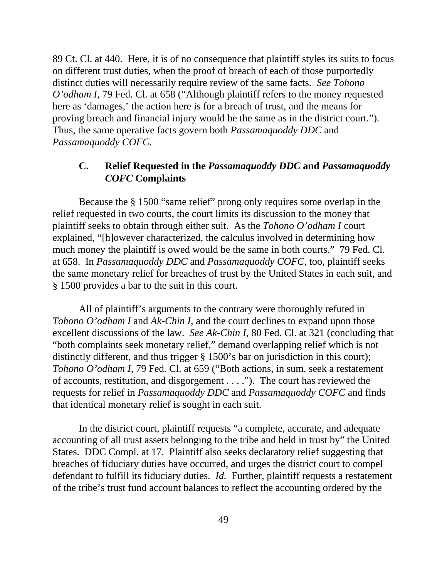89 Ct. Cl. at 440. Here, it is of no consequence that plaintiff styles its suits to focus on different trust duties, when the proof of breach of each of those purportedly distinct duties will necessarily require review of the same facts. *See Tohono O'odham I*, 79 Fed. Cl. at 658 ("Although plaintiff refers to the money requested here as 'damages,' the action here is for a breach of trust, and the means for proving breach and financial injury would be the same as in the district court."). Thus, the same operative facts govern both *Passamaquoddy DDC* and *Passamaquoddy COFC*.

### **C. Relief Requested in the** *Passamaquoddy DDC* **and** *Passamaquoddy COFC* **Complaints**

Because the § 1500 "same relief" prong only requires some overlap in the relief requested in two courts, the court limits its discussion to the money that plaintiff seeks to obtain through either suit. As the *Tohono O'odham I* court explained, "[h]owever characterized, the calculus involved in determining how much money the plaintiff is owed would be the same in both courts." 79 Fed. Cl. at 658. In *Passamaquoddy DDC* and *Passamaquoddy COFC*, too, plaintiff seeks the same monetary relief for breaches of trust by the United States in each suit, and § 1500 provides a bar to the suit in this court.

All of plaintiff's arguments to the contrary were thoroughly refuted in *Tohono O'odham I* and *Ak-Chin I*, and the court declines to expand upon those excellent discussions of the law. *See Ak-Chin I*, 80 Fed. Cl. at 321 (concluding that "both complaints seek monetary relief," demand overlapping relief which is not distinctly different, and thus trigger § 1500's bar on jurisdiction in this court); *Tohono O'odham I*, 79 Fed. Cl. at 659 ("Both actions, in sum, seek a restatement of accounts, restitution, and disgorgement . . . ."). The court has reviewed the requests for relief in *Passamaquoddy DDC* and *Passamaquoddy COFC* and finds that identical monetary relief is sought in each suit.

In the district court, plaintiff requests "a complete, accurate, and adequate accounting of all trust assets belonging to the tribe and held in trust by" the United States. DDC Compl. at 17. Plaintiff also seeks declaratory relief suggesting that breaches of fiduciary duties have occurred, and urges the district court to compel defendant to fulfill its fiduciary duties. *Id.* Further, plaintiff requests a restatement of the tribe's trust fund account balances to reflect the accounting ordered by the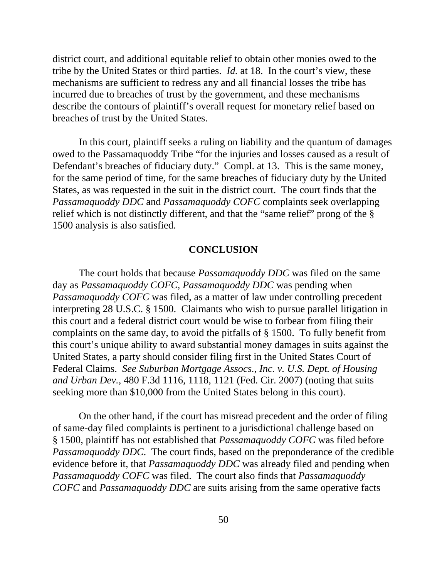district court, and additional equitable relief to obtain other monies owed to the tribe by the United States or third parties. *Id.* at 18. In the court's view, these mechanisms are sufficient to redress any and all financial losses the tribe has incurred due to breaches of trust by the government, and these mechanisms describe the contours of plaintiff's overall request for monetary relief based on breaches of trust by the United States.

In this court, plaintiff seeks a ruling on liability and the quantum of damages owed to the Passamaquoddy Tribe "for the injuries and losses caused as a result of Defendant's breaches of fiduciary duty." Compl. at 13. This is the same money, for the same period of time, for the same breaches of fiduciary duty by the United States, as was requested in the suit in the district court. The court finds that the *Passamaquoddy DDC* and *Passamaquoddy COFC* complaints seek overlapping relief which is not distinctly different, and that the "same relief" prong of the § 1500 analysis is also satisfied.

#### **CONCLUSION**

The court holds that because *Passamaquoddy DDC* was filed on the same day as *Passamaquoddy COFC*, *Passamaquoddy DDC* was pending when *Passamaquoddy COFC* was filed, as a matter of law under controlling precedent interpreting 28 U.S.C. § 1500. Claimants who wish to pursue parallel litigation in this court and a federal district court would be wise to forbear from filing their complaints on the same day, to avoid the pitfalls of § 1500. To fully benefit from this court's unique ability to award substantial money damages in suits against the United States, a party should consider filing first in the United States Court of Federal Claims. *See Suburban Mortgage Assocs., Inc. v. U.S. Dept. of Housing and Urban Dev.*, 480 F.3d 1116, 1118, 1121 (Fed. Cir. 2007) (noting that suits seeking more than \$10,000 from the United States belong in this court).

On the other hand, if the court has misread precedent and the order of filing of same-day filed complaints is pertinent to a jurisdictional challenge based on § 1500, plaintiff has not established that *Passamaquoddy COFC* was filed before *Passamaquoddy DDC*. The court finds, based on the preponderance of the credible evidence before it, that *Passamaquoddy DDC* was already filed and pending when *Passamaquoddy COFC* was filed.The court also finds that *Passamaquoddy COFC* and *Passamaquoddy DDC* are suits arising from the same operative facts